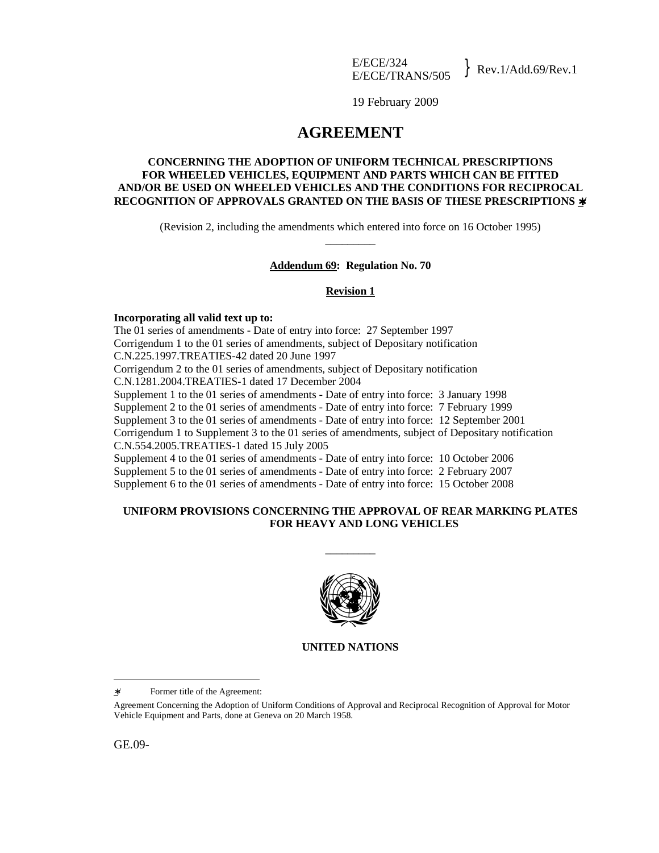19 February 2009

# **AGREEMENT**

## **CONCERNING THE ADOPTION OF UNIFORM TECHNICAL PRESCRIPTIONS FOR WHEELED VEHICLES, EQUIPMENT AND PARTS WHICH CAN BE FITTED AND/OR BE USED ON WHEELED VEHICLES AND THE CONDITIONS FOR RECIPROCAL RECOGNITION OF APPROVALS GRANTED ON THE BASIS OF THESE PRESCRIPTIONS** ∗**/**

(Revision 2, including the amendments which entered into force on 16 October 1995) \_\_\_\_\_\_\_\_\_

## **Addendum 69: Regulation No. 70**

#### **Revision 1**

#### **Incorporating all valid text up to:**

The 01 series of amendments - Date of entry into force: 27 September 1997 Corrigendum 1 to the 01 series of amendments, subject of Depositary notification C.N.225.1997.TREATIES-42 dated 20 June 1997 Corrigendum 2 to the 01 series of amendments, subject of Depositary notification C.N.1281.2004.TREATIES-1 dated 17 December 2004 Supplement 1 to the 01 series of amendments - Date of entry into force: 3 January 1998 Supplement 2 to the 01 series of amendments - Date of entry into force: 7 February 1999 Supplement 3 to the 01 series of amendments - Date of entry into force: 12 September 2001 Corrigendum 1 to Supplement 3 to the 01 series of amendments, subject of Depositary notification C.N.554.2005.TREATIES-1 dated 15 July 2005 Supplement 4 to the 01 series of amendments - Date of entry into force: 10 October 2006 Supplement 5 to the 01 series of amendments - Date of entry into force: 2 February 2007 Supplement 6 to the 01 series of amendments - Date of entry into force: 15 October 2008

## **UNIFORM PROVISIONS CONCERNING THE APPROVAL OF REAR MARKING PLATES FOR HEAVY AND LONG VEHICLES**

\_\_\_\_\_\_\_\_\_



# **UNITED NATIONS**

 $\overline{a}$ 

<sup>∗</sup>/ Former title of the Agreement:

Agreement Concerning the Adoption of Uniform Conditions of Approval and Reciprocal Recognition of Approval for Motor Vehicle Equipment and Parts, done at Geneva on 20 March 1958.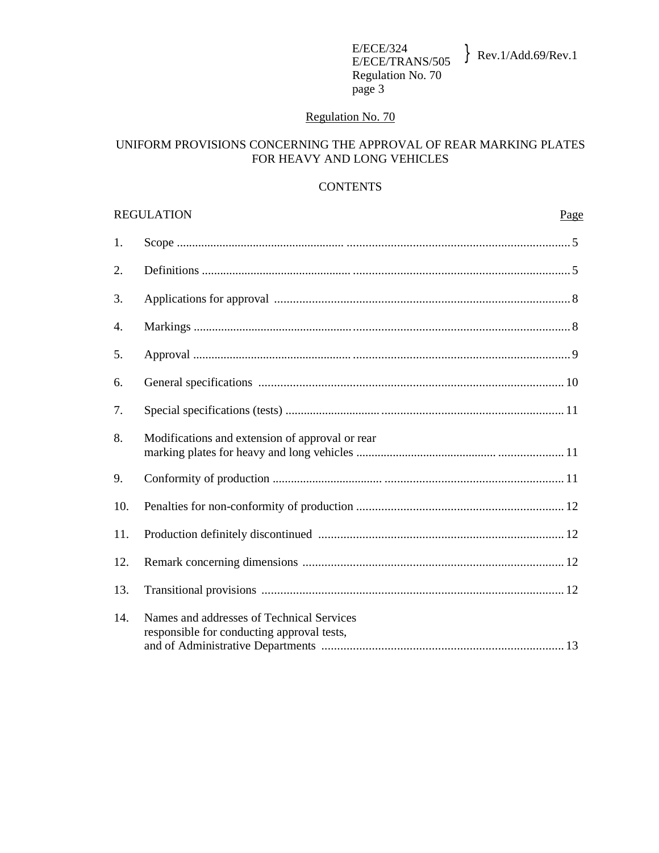# Regulation No. 70

# UNIFORM PROVISIONS CONCERNING THE APPROVAL OF REAR MARKING PLATES FOR HEAVY AND LONG VEHICLES

# **CONTENTS**

|     | <b>REGULATION</b><br>Page                                                               |
|-----|-----------------------------------------------------------------------------------------|
| 1.  |                                                                                         |
| 2.  |                                                                                         |
| 3.  |                                                                                         |
| 4.  |                                                                                         |
| 5.  |                                                                                         |
| 6.  |                                                                                         |
| 7.  |                                                                                         |
| 8.  | Modifications and extension of approval or rear                                         |
| 9.  |                                                                                         |
| 10. |                                                                                         |
| 11. |                                                                                         |
| 12. |                                                                                         |
| 13. |                                                                                         |
| 14. | Names and addresses of Technical Services<br>responsible for conducting approval tests, |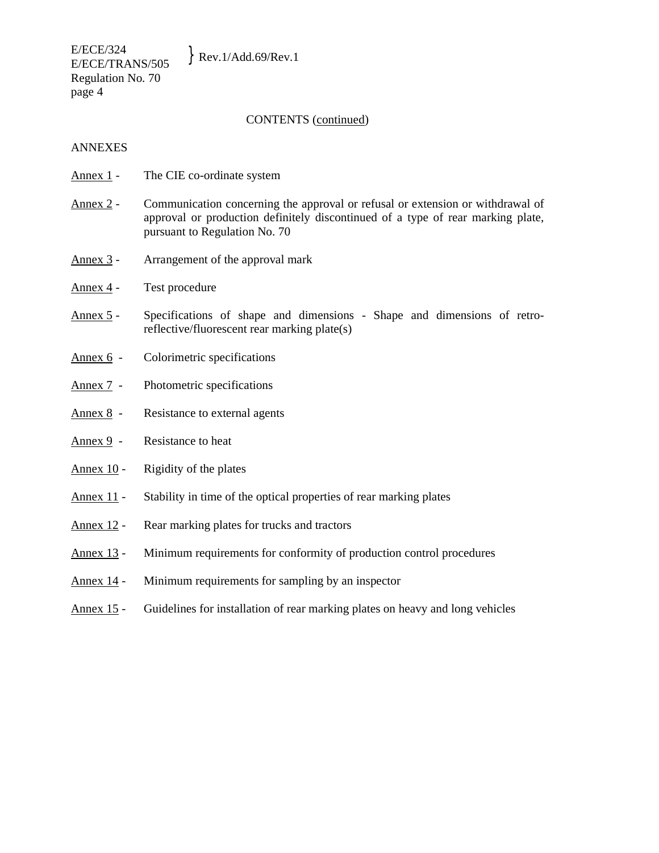E/ECE/324  $E/ECE/524$ <br>E/ECE/TRANS/505 Rev.1/Add.69/Rev.1 Regulation No. 70 page 4

## CONTENTS (continued)

## ANNEXES

- Annex 1 The CIE co-ordinate system
- Annex 2 Communication concerning the approval or refusal or extension or withdrawal of approval or production definitely discontinued of a type of rear marking plate, pursuant to Regulation No. 70
- Annex 3 Arrangement of the approval mark
- Annex 4 Test procedure
- Annex 5 Specifications of shape and dimensions Shape and dimensions of retroreflective/fluorescent rear marking plate(s)
- Annex 6 Colorimetric specifications
- Annex 7 Photometric specifications
- Annex 8 Resistance to external agents
- Annex 9 Resistance to heat
- Annex 10 Rigidity of the plates
- Annex 11 Stability in time of the optical properties of rear marking plates
- Annex 12 Rear marking plates for trucks and tractors
- Annex 13 Minimum requirements for conformity of production control procedures
- Annex 14 Minimum requirements for sampling by an inspector
- Annex 15 Guidelines for installation of rear marking plates on heavy and long vehicles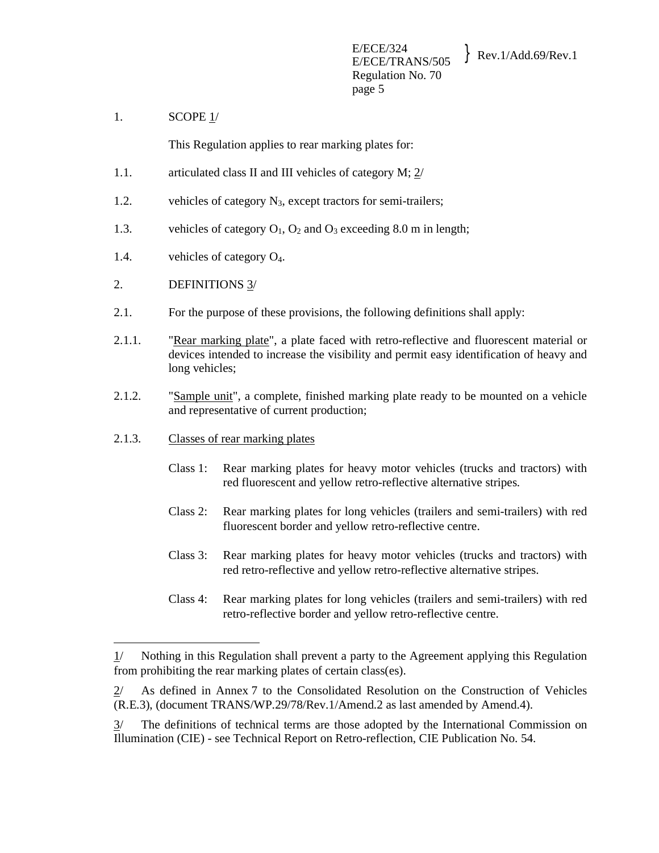E/ECE/324  $E/ECE/324$ <br>E/ECE/TRANS/505 Rev.1/Add.69/Rev.1 Regulation No. 70 page 5

# 1. SCOPE 1/

This Regulation applies to rear marking plates for:

- 1.1. articulated class II and III vehicles of category M; 2/
- 1.2. vehicles of category  $N_3$ , except tractors for semi-trailers;
- 1.3. vehicles of category  $O_1$ ,  $O_2$  and  $O_3$  exceeding 8.0 m in length;
- 1.4. vehicles of category O4.
- 2. DEFINITIONS 3/
- 2.1. For the purpose of these provisions, the following definitions shall apply:
- 2.1.1. "Rear marking plate", a plate faced with retro-reflective and fluorescent material or devices intended to increase the visibility and permit easy identification of heavy and long vehicles;
- 2.1.2. "Sample unit", a complete, finished marking plate ready to be mounted on a vehicle and representative of current production;
- 2.1.3. Classes of rear marking plates

 $\overline{a}$ 

- Class 1: Rear marking plates for heavy motor vehicles (trucks and tractors) with red fluorescent and yellow retro-reflective alternative stripes.
- Class 2: Rear marking plates for long vehicles (trailers and semi-trailers) with red fluorescent border and yellow retro-reflective centre.
- Class 3: Rear marking plates for heavy motor vehicles (trucks and tractors) with red retro-reflective and yellow retro-reflective alternative stripes.
- Class 4: Rear marking plates for long vehicles (trailers and semi-trailers) with red retro-reflective border and yellow retro-reflective centre.

 $1/$  Nothing in this Regulation shall prevent a party to the Agreement applying this Regulation from prohibiting the rear marking plates of certain class(es).

<sup>2/</sup> As defined in Annex 7 to the Consolidated Resolution on the Construction of Vehicles (R.E.3), (document TRANS/WP.29/78/Rev.1/Amend.2 as last amended by Amend.4).

The definitions of technical terms are those adopted by the International Commission on Illumination (CIE) - see Technical Report on Retro-reflection, CIE Publication No. 54.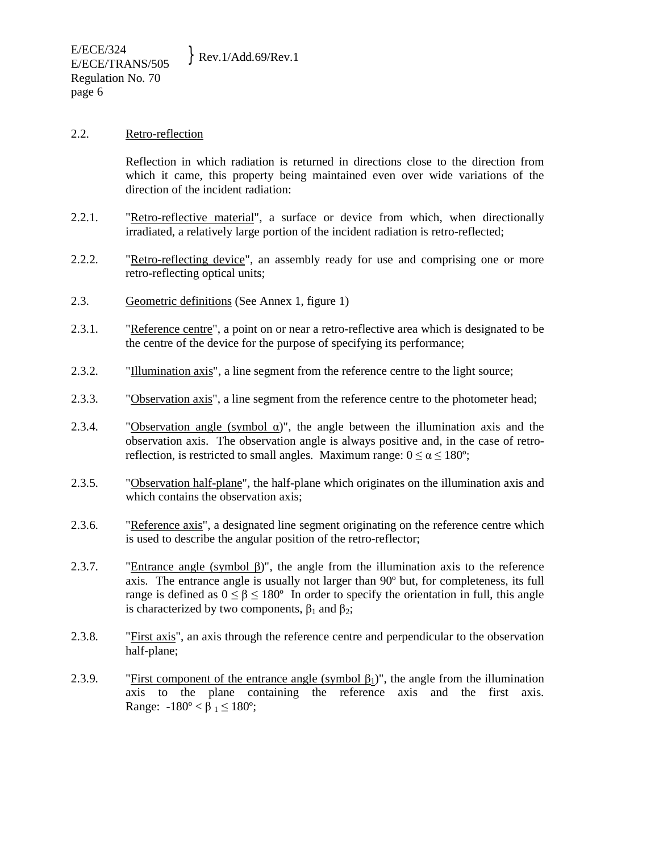## 2.2. Retro-reflection

 Reflection in which radiation is returned in directions close to the direction from which it came, this property being maintained even over wide variations of the direction of the incident radiation:

- 2.2.1. "Retro-reflective material", a surface or device from which, when directionally irradiated, a relatively large portion of the incident radiation is retro-reflected;
- 2.2.2. "Retro-reflecting device", an assembly ready for use and comprising one or more retro-reflecting optical units;
- 2.3. Geometric definitions (See Annex 1, figure 1)
- 2.3.1. "Reference centre", a point on or near a retro-reflective area which is designated to be the centre of the device for the purpose of specifying its performance;
- 2.3.2. "Illumination axis", a line segment from the reference centre to the light source;
- 2.3.3. "Observation axis", a line segment from the reference centre to the photometer head;
- 2.3.4. "Observation angle (symbol  $\alpha$ )", the angle between the illumination axis and the observation axis. The observation angle is always positive and, in the case of retroreflection, is restricted to small angles. Maximum range:  $0 \le \alpha \le 180^{\circ}$ ;
- 2.3.5. "Observation half-plane", the half-plane which originates on the illumination axis and which contains the observation axis;
- 2.3.6. "Reference axis", a designated line segment originating on the reference centre which is used to describe the angular position of the retro-reflector;
- 2.3.7. "Entrance angle (symbol  $\beta$ )", the angle from the illumination axis to the reference axis. The entrance angle is usually not larger than 90º but, for completeness, its full range is defined as  $0 \leq \beta \leq 180^{\circ}$  In order to specify the orientation in full, this angle is characterized by two components,  $β_1$  and  $β_2$ ;
- 2.3.8. "First axis", an axis through the reference centre and perpendicular to the observation half-plane;
- 2.3.9. "First component of the entrance angle (symbol  $\beta_1$ )", the angle from the illumination axis to the plane containing the reference axis and the first axis. Range:  $-180^{\circ} < \beta_1 \le 180^{\circ}$ ;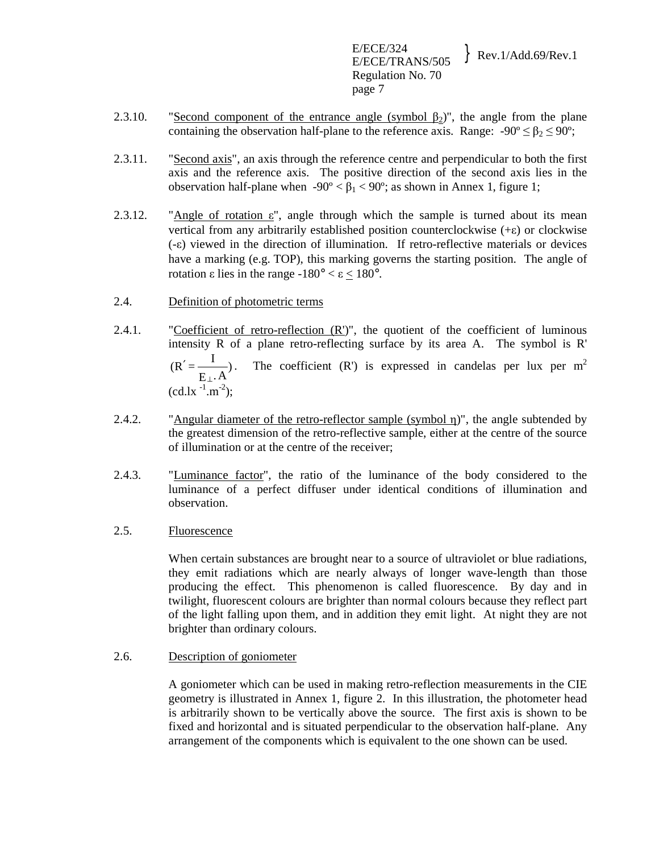- 2.3.10. "Second component of the entrance angle (symbol  $\beta_2$ )", the angle from the plane containing the observation half-plane to the reference axis. Range:  $-90^{\circ} \le \beta_2 \le 90^{\circ}$ ;
- 2.3.11. "Second axis", an axis through the reference centre and perpendicular to both the first axis and the reference axis. The positive direction of the second axis lies in the observation half-plane when  $-90^{\circ} < \beta_1 < 90^{\circ}$ ; as shown in Annex 1, figure 1;
- 2.3.12. "Angle of rotation  $\varepsilon$ ", angle through which the sample is turned about its mean vertical from any arbitrarily established position counterclockwise (+ε) or clockwise (-ε) viewed in the direction of illumination. If retro-reflective materials or devices have a marking (e.g. TOP), this marking governs the starting position. The angle of rotation ε lies in the range  $-180^\circ < \varepsilon < 180^\circ$ .
- 2.4. Definition of photometric terms
- 2.4.1. "Coefficient of retro-reflection (R')", the quotient of the coefficient of luminous intensity R of a plane retro-reflecting surface by its area A. The symbol is R' )  $E_{\perp}$  . A  $(R' = \frac{I}{I})$ ⊥  $\gamma = \frac{1}{\gamma}$ . The coefficient (R') is expressed in candelas per lux per m<sup>2</sup>  $(cd.lx^{-1}.m^{-2})$ ;
- 2.4.2. "Angular diameter of the retro-reflector sample (symbol η)", the angle subtended by the greatest dimension of the retro-reflective sample, either at the centre of the source of illumination or at the centre of the receiver;
- 2.4.3. "Luminance factor", the ratio of the luminance of the body considered to the luminance of a perfect diffuser under identical conditions of illumination and observation.

## 2.5. Fluorescence

When certain substances are brought near to a source of ultraviolet or blue radiations, they emit radiations which are nearly always of longer wave-length than those producing the effect. This phenomenon is called fluorescence. By day and in twilight, fluorescent colours are brighter than normal colours because they reflect part of the light falling upon them, and in addition they emit light. At night they are not brighter than ordinary colours.

## 2.6. Description of goniometer

 A goniometer which can be used in making retro-reflection measurements in the CIE geometry is illustrated in Annex 1, figure 2. In this illustration, the photometer head is arbitrarily shown to be vertically above the source. The first axis is shown to be fixed and horizontal and is situated perpendicular to the observation half-plane. Any arrangement of the components which is equivalent to the one shown can be used.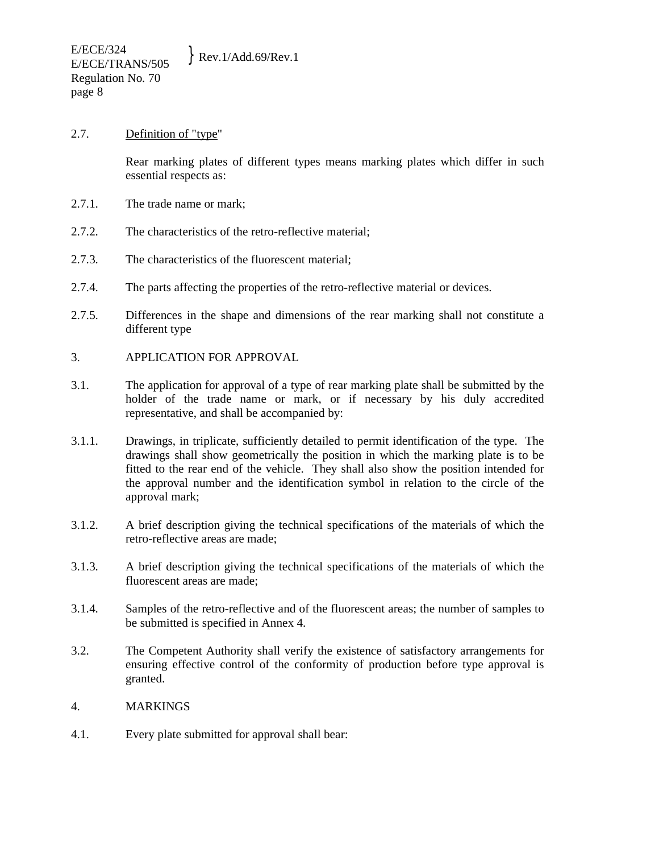## 2.7. Definition of "type"

 Rear marking plates of different types means marking plates which differ in such essential respects as:

- 2.7.1. The trade name or mark;
- 2.7.2. The characteristics of the retro-reflective material;
- 2.7.3. The characteristics of the fluorescent material;
- 2.7.4. The parts affecting the properties of the retro-reflective material or devices.
- 2.7.5. Differences in the shape and dimensions of the rear marking shall not constitute a different type
- 3. APPLICATION FOR APPROVAL
- 3.1. The application for approval of a type of rear marking plate shall be submitted by the holder of the trade name or mark, or if necessary by his duly accredited representative, and shall be accompanied by:
- 3.1.1. Drawings, in triplicate, sufficiently detailed to permit identification of the type. The drawings shall show geometrically the position in which the marking plate is to be fitted to the rear end of the vehicle. They shall also show the position intended for the approval number and the identification symbol in relation to the circle of the approval mark;
- 3.1.2. A brief description giving the technical specifications of the materials of which the retro-reflective areas are made;
- 3.1.3. A brief description giving the technical specifications of the materials of which the fluorescent areas are made;
- 3.1.4. Samples of the retro-reflective and of the fluorescent areas; the number of samples to be submitted is specified in Annex 4.
- 3.2. The Competent Authority shall verify the existence of satisfactory arrangements for ensuring effective control of the conformity of production before type approval is granted.
- 4. MARKINGS
- 4.1. Every plate submitted for approval shall bear: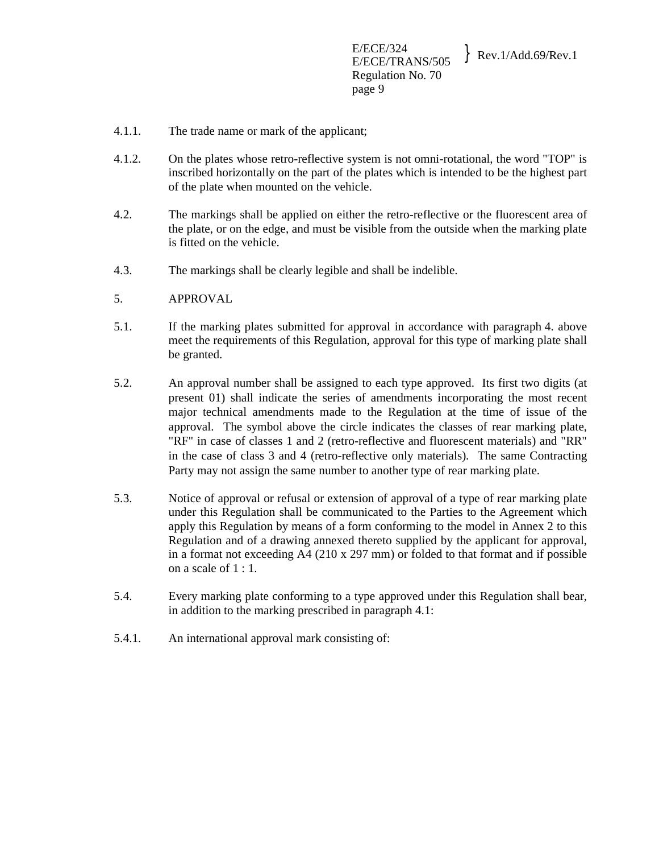- 4.1.1. The trade name or mark of the applicant;
- 4.1.2. On the plates whose retro-reflective system is not omni-rotational, the word "TOP" is inscribed horizontally on the part of the plates which is intended to be the highest part of the plate when mounted on the vehicle.
- 4.2. The markings shall be applied on either the retro-reflective or the fluorescent area of the plate, or on the edge, and must be visible from the outside when the marking plate is fitted on the vehicle.
- 4.3. The markings shall be clearly legible and shall be indelible.
- 5. APPROVAL
- 5.1. If the marking plates submitted for approval in accordance with paragraph 4. above meet the requirements of this Regulation, approval for this type of marking plate shall be granted.
- 5.2. An approval number shall be assigned to each type approved. Its first two digits (at present 01) shall indicate the series of amendments incorporating the most recent major technical amendments made to the Regulation at the time of issue of the approval. The symbol above the circle indicates the classes of rear marking plate, "RF" in case of classes 1 and 2 (retro-reflective and fluorescent materials) and "RR" in the case of class 3 and 4 (retro-reflective only materials). The same Contracting Party may not assign the same number to another type of rear marking plate.
- 5.3. Notice of approval or refusal or extension of approval of a type of rear marking plate under this Regulation shall be communicated to the Parties to the Agreement which apply this Regulation by means of a form conforming to the model in Annex 2 to this Regulation and of a drawing annexed thereto supplied by the applicant for approval, in a format not exceeding  $A4$  (210 x 297 mm) or folded to that format and if possible on a scale of 1 : 1.
- 5.4. Every marking plate conforming to a type approved under this Regulation shall bear, in addition to the marking prescribed in paragraph 4.1:
- 5.4.1. An international approval mark consisting of: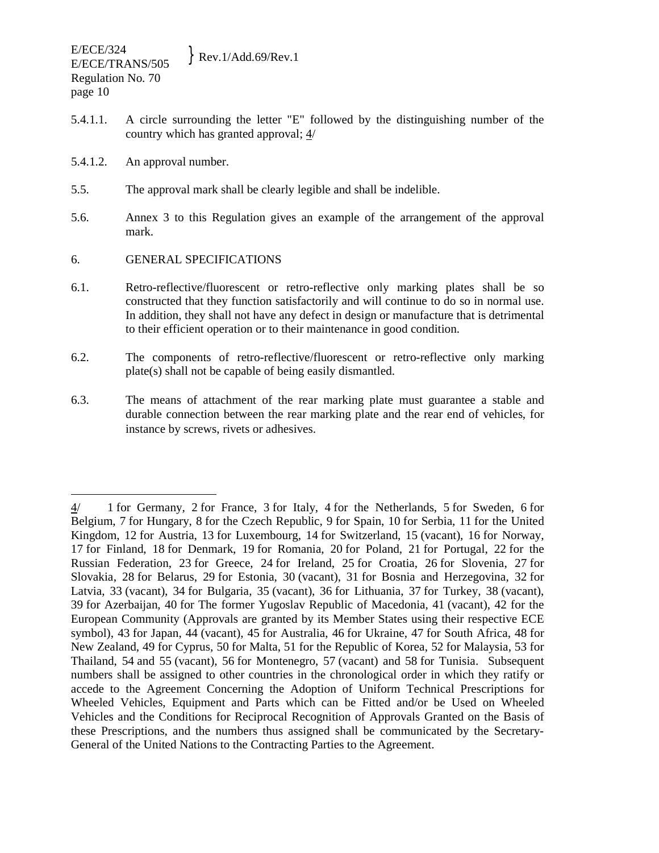- 5.4.1.1. A circle surrounding the letter "E" followed by the distinguishing number of the country which has granted approval; 4/
- 5.4.1.2. An approval number.

 $\overline{a}$ 

- 5.5. The approval mark shall be clearly legible and shall be indelible.
- 5.6. Annex 3 to this Regulation gives an example of the arrangement of the approval mark.
- 6. GENERAL SPECIFICATIONS
- 6.1. Retro-reflective/fluorescent or retro-reflective only marking plates shall be so constructed that they function satisfactorily and will continue to do so in normal use. In addition, they shall not have any defect in design or manufacture that is detrimental to their efficient operation or to their maintenance in good condition.
- 6.2. The components of retro-reflective/fluorescent or retro-reflective only marking plate(s) shall not be capable of being easily dismantled.
- 6.3. The means of attachment of the rear marking plate must guarantee a stable and durable connection between the rear marking plate and the rear end of vehicles, for instance by screws, rivets or adhesives.

<sup>4/ 1</sup> for Germany, 2 for France, 3 for Italy, 4 for the Netherlands, 5 for Sweden, 6 for Belgium, 7 for Hungary, 8 for the Czech Republic, 9 for Spain, 10 for Serbia, 11 for the United Kingdom, 12 for Austria, 13 for Luxembourg, 14 for Switzerland, 15 (vacant), 16 for Norway, 17 for Finland, 18 for Denmark, 19 for Romania, 20 for Poland, 21 for Portugal, 22 for the Russian Federation, 23 for Greece, 24 for Ireland, 25 for Croatia, 26 for Slovenia, 27 for Slovakia, 28 for Belarus, 29 for Estonia, 30 (vacant), 31 for Bosnia and Herzegovina, 32 for Latvia, 33 (vacant), 34 for Bulgaria, 35 (vacant), 36 for Lithuania, 37 for Turkey, 38 (vacant), 39 for Azerbaijan, 40 for The former Yugoslav Republic of Macedonia, 41 (vacant), 42 for the European Community (Approvals are granted by its Member States using their respective ECE symbol), 43 for Japan, 44 (vacant), 45 for Australia, 46 for Ukraine, 47 for South Africa, 48 for New Zealand, 49 for Cyprus, 50 for Malta, 51 for the Republic of Korea, 52 for Malaysia, 53 for Thailand, 54 and 55 (vacant), 56 for Montenegro, 57 (vacant) and 58 for Tunisia. Subsequent numbers shall be assigned to other countries in the chronological order in which they ratify or accede to the Agreement Concerning the Adoption of Uniform Technical Prescriptions for Wheeled Vehicles, Equipment and Parts which can be Fitted and/or be Used on Wheeled Vehicles and the Conditions for Reciprocal Recognition of Approvals Granted on the Basis of these Prescriptions, and the numbers thus assigned shall be communicated by the Secretary-General of the United Nations to the Contracting Parties to the Agreement.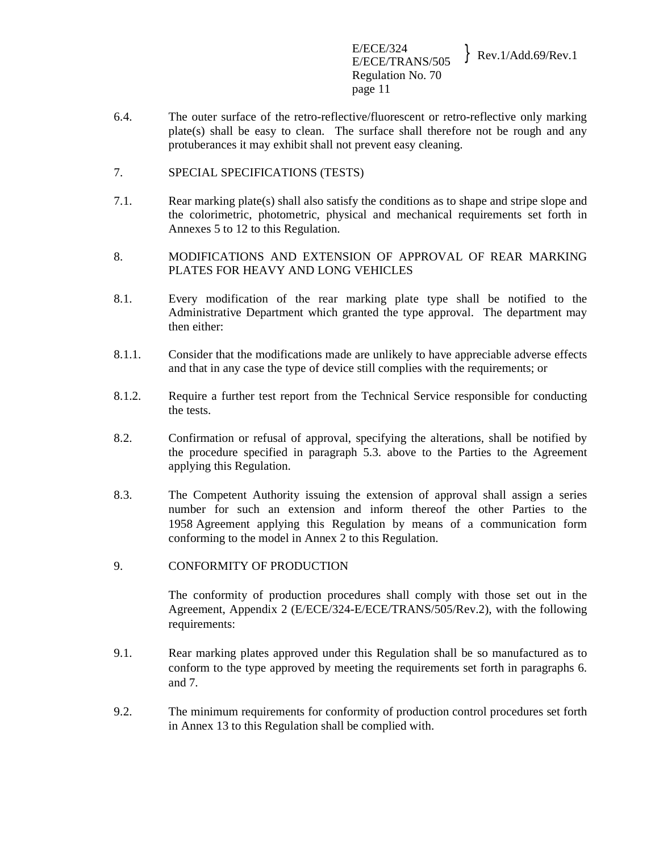E/ECE/324  $E/ECE/324$ <br>E/ECE/TRANS/505 Rev.1/Add.69/Rev.1 Regulation No. 70 page 11

- 6.4. The outer surface of the retro-reflective/fluorescent or retro-reflective only marking  $plate(s)$  shall be easy to clean. The surface shall therefore not be rough and any protuberances it may exhibit shall not prevent easy cleaning.
- 7. SPECIAL SPECIFICATIONS (TESTS)
- 7.1. Rear marking plate(s) shall also satisfy the conditions as to shape and stripe slope and the colorimetric, photometric, physical and mechanical requirements set forth in Annexes 5 to 12 to this Regulation.
- 8. MODIFICATIONS AND EXTENSION OF APPROVAL OF REAR MARKING PLATES FOR HEAVY AND LONG VEHICLES
- 8.1. Every modification of the rear marking plate type shall be notified to the Administrative Department which granted the type approval. The department may then either:
- 8.1.1. Consider that the modifications made are unlikely to have appreciable adverse effects and that in any case the type of device still complies with the requirements; or
- 8.1.2. Require a further test report from the Technical Service responsible for conducting the tests.
- 8.2. Confirmation or refusal of approval, specifying the alterations, shall be notified by the procedure specified in paragraph 5.3. above to the Parties to the Agreement applying this Regulation.
- 8.3. The Competent Authority issuing the extension of approval shall assign a series number for such an extension and inform thereof the other Parties to the 1958 Agreement applying this Regulation by means of a communication form conforming to the model in Annex 2 to this Regulation.
- 9. CONFORMITY OF PRODUCTION

 The conformity of production procedures shall comply with those set out in the Agreement, Appendix 2 (E/ECE/324-E/ECE/TRANS/505/Rev.2), with the following requirements:

- 9.1. Rear marking plates approved under this Regulation shall be so manufactured as to conform to the type approved by meeting the requirements set forth in paragraphs 6. and 7.
- 9.2. The minimum requirements for conformity of production control procedures set forth in Annex 13 to this Regulation shall be complied with.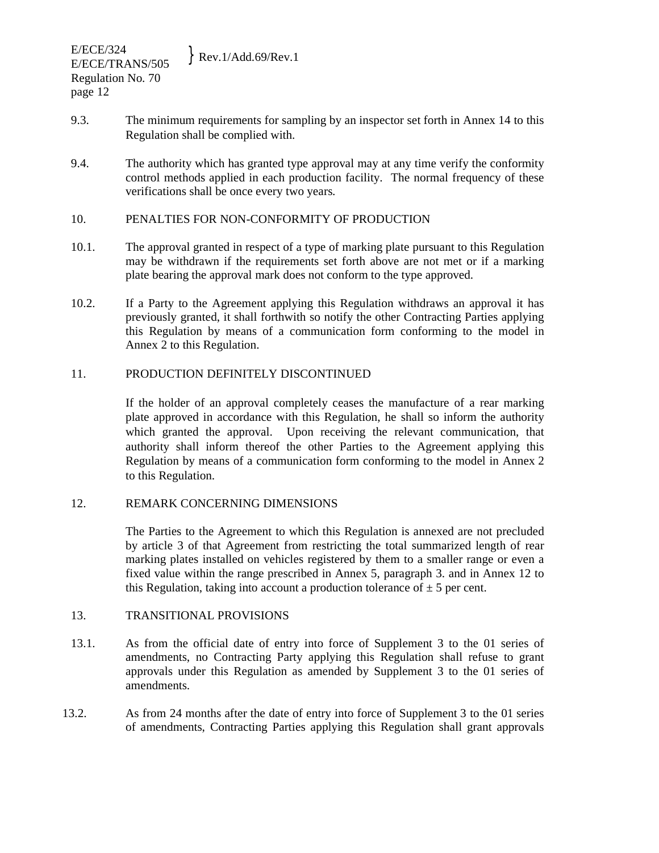- 9.3. The minimum requirements for sampling by an inspector set forth in Annex 14 to this Regulation shall be complied with.
- 9.4. The authority which has granted type approval may at any time verify the conformity control methods applied in each production facility. The normal frequency of these verifications shall be once every two years.

## 10. PENALTIES FOR NON-CONFORMITY OF PRODUCTION

- 10.1. The approval granted in respect of a type of marking plate pursuant to this Regulation may be withdrawn if the requirements set forth above are not met or if a marking plate bearing the approval mark does not conform to the type approved.
- 10.2. If a Party to the Agreement applying this Regulation withdraws an approval it has previously granted, it shall forthwith so notify the other Contracting Parties applying this Regulation by means of a communication form conforming to the model in Annex 2 to this Regulation.

## 11. PRODUCTION DEFINITELY DISCONTINUED

 If the holder of an approval completely ceases the manufacture of a rear marking plate approved in accordance with this Regulation, he shall so inform the authority which granted the approval. Upon receiving the relevant communication, that authority shall inform thereof the other Parties to the Agreement applying this Regulation by means of a communication form conforming to the model in Annex 2 to this Regulation.

## 12. REMARK CONCERNING DIMENSIONS

 The Parties to the Agreement to which this Regulation is annexed are not precluded by article 3 of that Agreement from restricting the total summarized length of rear marking plates installed on vehicles registered by them to a smaller range or even a fixed value within the range prescribed in Annex 5, paragraph 3. and in Annex 12 to this Regulation, taking into account a production tolerance of  $\pm$  5 per cent.

# 13. TRANSITIONAL PROVISIONS

- 13.1. As from the official date of entry into force of Supplement 3 to the 01 series of amendments, no Contracting Party applying this Regulation shall refuse to grant approvals under this Regulation as amended by Supplement 3 to the 01 series of amendments.
- 13.2. As from 24 months after the date of entry into force of Supplement 3 to the 01 series of amendments, Contracting Parties applying this Regulation shall grant approvals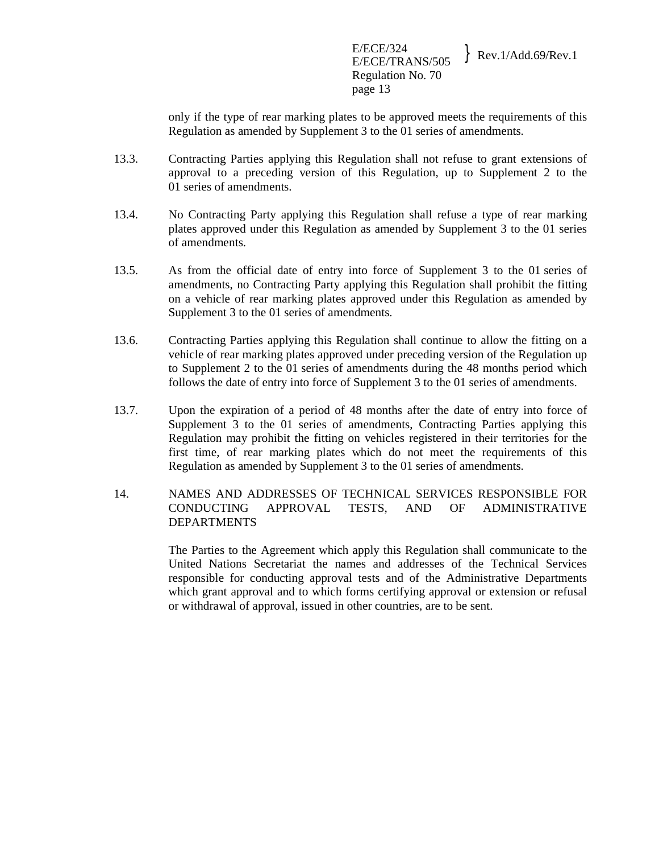only if the type of rear marking plates to be approved meets the requirements of this Regulation as amended by Supplement 3 to the 01 series of amendments.

- 13.3. Contracting Parties applying this Regulation shall not refuse to grant extensions of approval to a preceding version of this Regulation, up to Supplement 2 to the 01 series of amendments.
- 13.4. No Contracting Party applying this Regulation shall refuse a type of rear marking plates approved under this Regulation as amended by Supplement 3 to the 01 series of amendments.
- 13.5. As from the official date of entry into force of Supplement 3 to the 01 series of amendments, no Contracting Party applying this Regulation shall prohibit the fitting on a vehicle of rear marking plates approved under this Regulation as amended by Supplement 3 to the 01 series of amendments.
- 13.6. Contracting Parties applying this Regulation shall continue to allow the fitting on a vehicle of rear marking plates approved under preceding version of the Regulation up to Supplement 2 to the 01 series of amendments during the 48 months period which follows the date of entry into force of Supplement 3 to the 01 series of amendments.
- 13.7. Upon the expiration of a period of 48 months after the date of entry into force of Supplement 3 to the 01 series of amendments, Contracting Parties applying this Regulation may prohibit the fitting on vehicles registered in their territories for the first time, of rear marking plates which do not meet the requirements of this Regulation as amended by Supplement 3 to the 01 series of amendments.
- 14. NAMES AND ADDRESSES OF TECHNICAL SERVICES RESPONSIBLE FOR CONDUCTING APPROVAL TESTS, AND OF ADMINISTRATIVE DEPARTMENTS

 The Parties to the Agreement which apply this Regulation shall communicate to the United Nations Secretariat the names and addresses of the Technical Services responsible for conducting approval tests and of the Administrative Departments which grant approval and to which forms certifying approval or extension or refusal or withdrawal of approval, issued in other countries, are to be sent.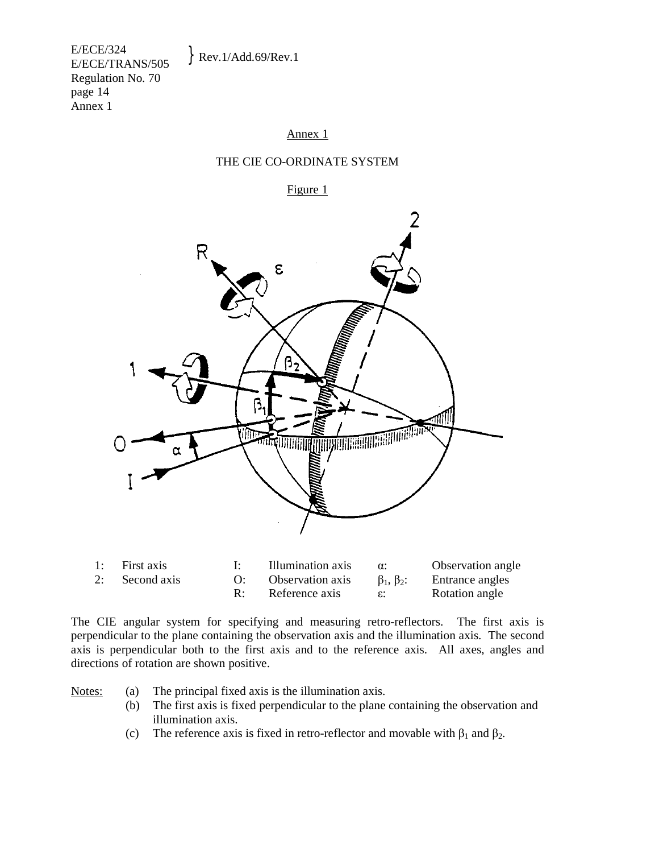E/ECE/324  $E/ECE/324$ <br>E/ECE/TRANS/505 Rev.1/Add.69/Rev.1 Regulation No. 70 page 14 Annex 1

## Annex 1

# THE CIE CO-ORDINATE SYSTEM

Figure 1



| 1: First axis  | Illumination axis | $\alpha$ :           | Observation angle |
|----------------|-------------------|----------------------|-------------------|
| 2: Second axis | Observation axis  | $\beta_1, \beta_2$ : | Entrance angles   |
|                | Reference axis    | E.                   | Rotation angle    |

The CIE angular system for specifying and measuring retro-reflectors. The first axis is perpendicular to the plane containing the observation axis and the illumination axis. The second axis is perpendicular both to the first axis and to the reference axis. All axes, angles and directions of rotation are shown positive.

- Notes: (a) The principal fixed axis is the illumination axis.
	- (b) The first axis is fixed perpendicular to the plane containing the observation and illumination axis.
	- (c) The reference axis is fixed in retro-reflector and movable with  $\beta_1$  and  $\beta_2$ .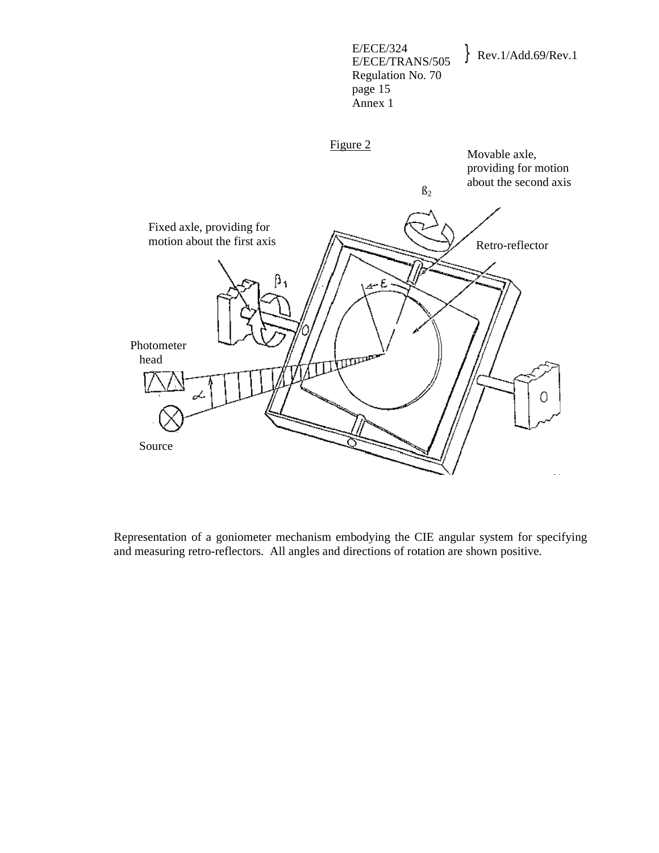

Representation of a goniometer mechanism embodying the CIE angular system for specifying and measuring retro-reflectors. All angles and directions of rotation are shown positive.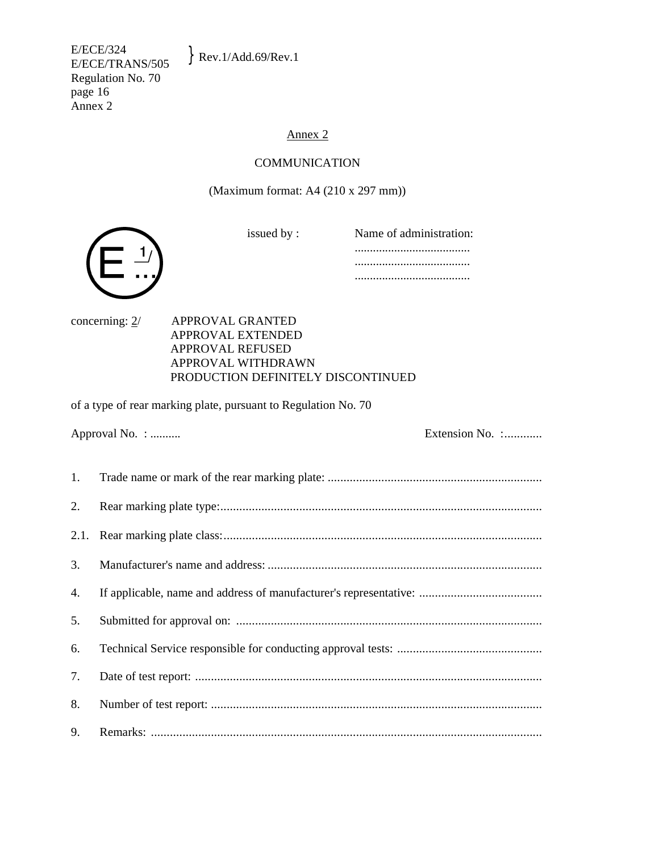$\}$  Rev.1/Add.69/Rev.1

E/ECE/324<br>E/ECE/TRANS/505 Regulation No. 70 page 16 Annex 2

# Annex 2

# COMMUNICATION

(Maximum format: A4 (210 x 297 mm))

issued by :

| Name of administration: |
|-------------------------|
|                         |
|                         |
|                         |



concerning: 2/ APPROVAL GRANTED APPROVAL EXTENDED APPROVAL REFUSED APPROVAL WITHDRAWN PRODUCTION DEFINITELY DISCONTINUED

of a type of rear marking plate, pursuant to Regulation No. 70

Approval No. : .......... Extension No. :............

| 2. |  |
|----|--|
|    |  |
| 3. |  |
| 4. |  |
| 5. |  |
| 6. |  |
| 7. |  |
| 8. |  |
| 9. |  |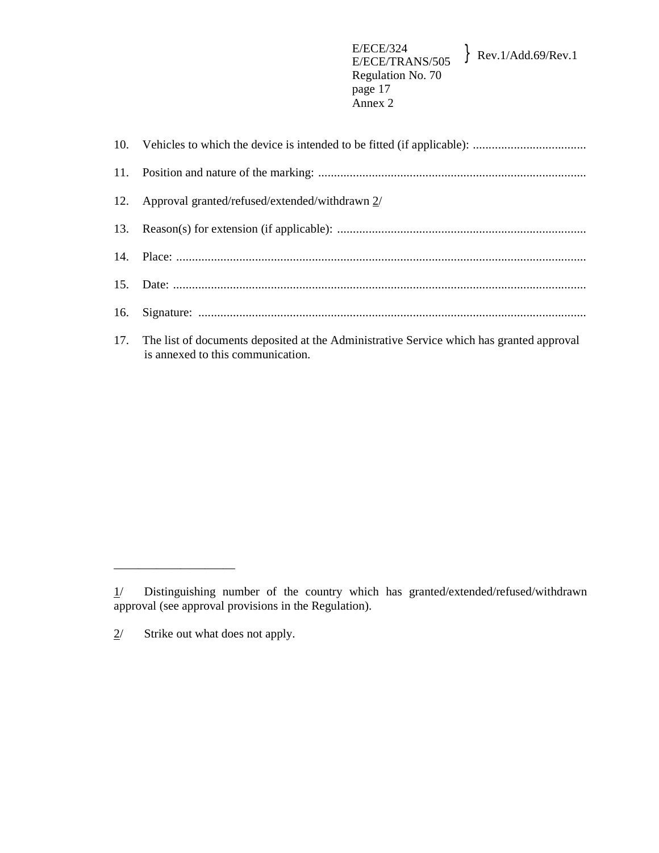| 10. Vehicles to which the device is intended to be fitted (if applicable):                   |
|----------------------------------------------------------------------------------------------|
|                                                                                              |
| 12. Approval granted/refused/extended/withdrawn 2/                                           |
|                                                                                              |
|                                                                                              |
|                                                                                              |
|                                                                                              |
| 17. The list of documents deposited at the Administrative Service which has granted approval |

is annexed to this communication.

\_\_\_\_\_\_\_\_\_\_\_\_\_\_\_\_\_\_\_\_

<sup>1/</sup> Distinguishing number of the country which has granted/extended/refused/withdrawn approval (see approval provisions in the Regulation).

 $2/$  Strike out what does not apply.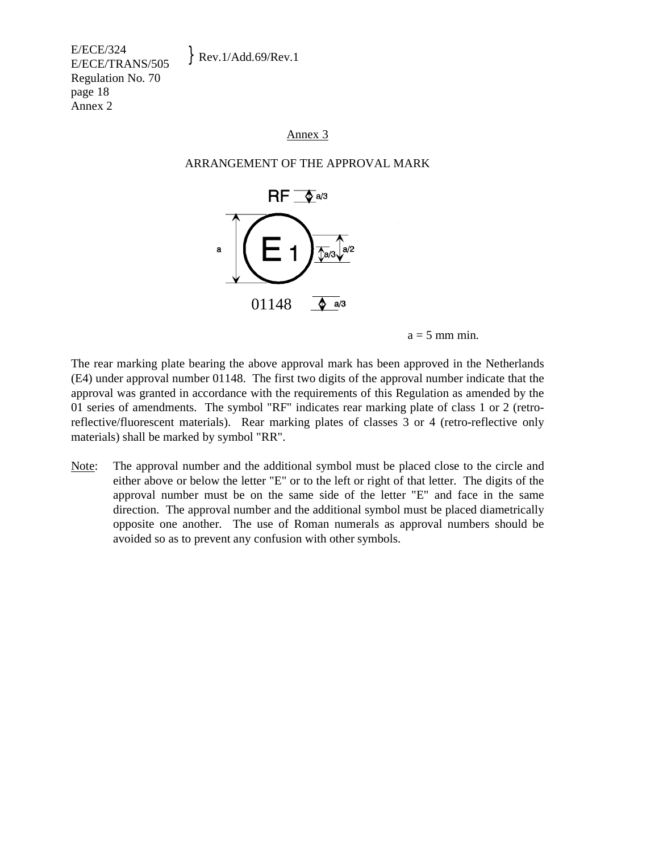E/ECE/324  $E/ECE/524$ <br>E/ECE/TRANS/505 Rev.1/Add.69/Rev.1 Regulation No. 70 page 18 Annex 2

## Annex 3

## ARRANGEMENT OF THE APPROVAL MARK



 $a = 5$  mm min.

The rear marking plate bearing the above approval mark has been approved in the Netherlands (E4) under approval number 01148. The first two digits of the approval number indicate that the approval was granted in accordance with the requirements of this Regulation as amended by the 01 series of amendments. The symbol "RF" indicates rear marking plate of class 1 or 2 (retroreflective/fluorescent materials). Rear marking plates of classes 3 or 4 (retro-reflective only materials) shall be marked by symbol "RR".

Note: The approval number and the additional symbol must be placed close to the circle and either above or below the letter "E" or to the left or right of that letter. The digits of the approval number must be on the same side of the letter "E" and face in the same direction. The approval number and the additional symbol must be placed diametrically opposite one another. The use of Roman numerals as approval numbers should be avoided so as to prevent any confusion with other symbols.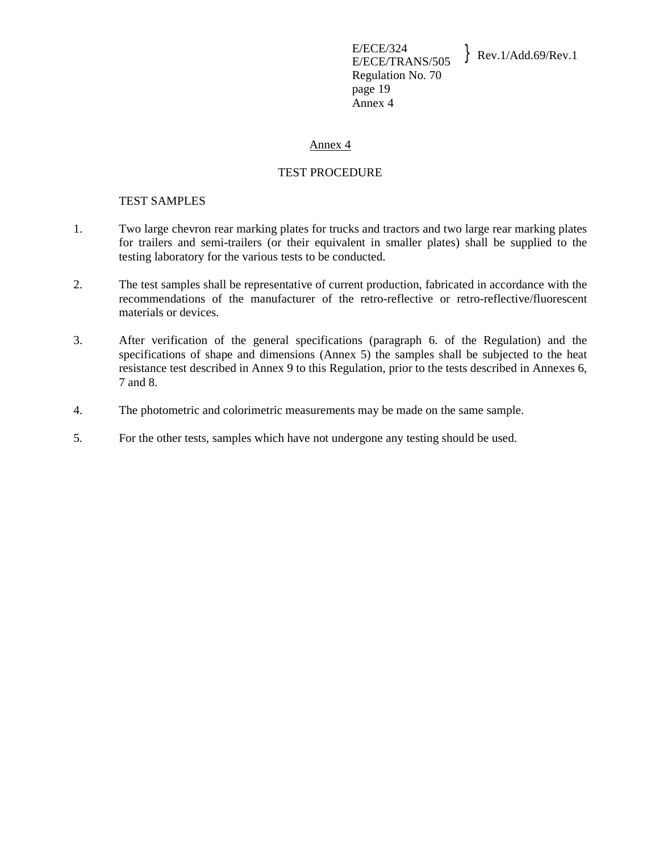# Annex 4

## TEST PROCEDURE

## TEST SAMPLES

- 1. Two large chevron rear marking plates for trucks and tractors and two large rear marking plates for trailers and semi-trailers (or their equivalent in smaller plates) shall be supplied to the testing laboratory for the various tests to be conducted.
- 2. The test samples shall be representative of current production, fabricated in accordance with the recommendations of the manufacturer of the retro-reflective or retro-reflective/fluorescent materials or devices.
- 3. After verification of the general specifications (paragraph 6. of the Regulation) and the specifications of shape and dimensions (Annex 5) the samples shall be subjected to the heat resistance test described in Annex 9 to this Regulation, prior to the tests described in Annexes 6, 7 and 8.
- 4. The photometric and colorimetric measurements may be made on the same sample.
- 5. For the other tests, samples which have not undergone any testing should be used.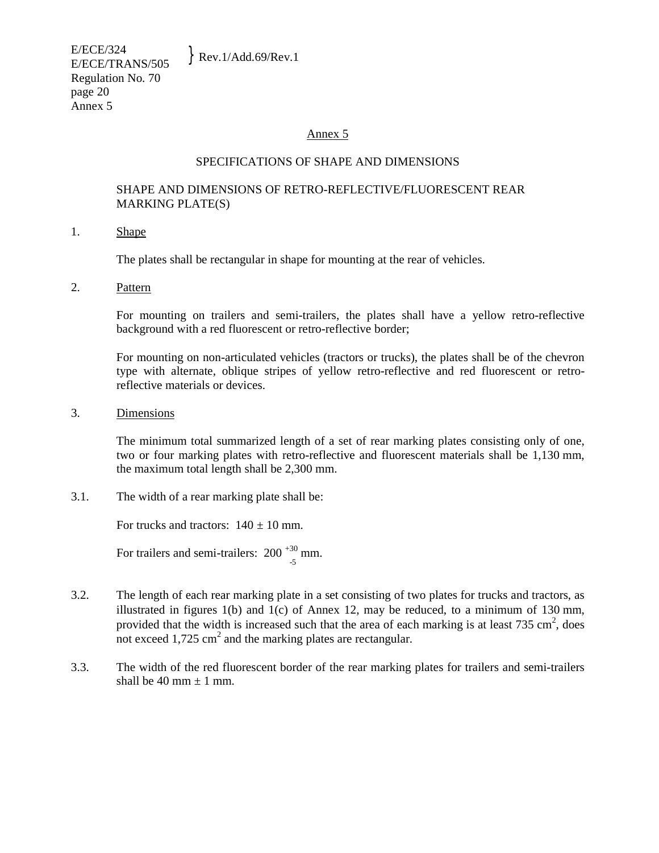## Annex 5

## SPECIFICATIONS OF SHAPE AND DIMENSIONS

# SHAPE AND DIMENSIONS OF RETRO-REFLECTIVE/FLUORESCENT REAR MARKING PLATE(S)

# 1. Shape

The plates shall be rectangular in shape for mounting at the rear of vehicles.

2. Pattern

 For mounting on trailers and semi-trailers, the plates shall have a yellow retro-reflective background with a red fluorescent or retro-reflective border;

 For mounting on non-articulated vehicles (tractors or trucks), the plates shall be of the chevron type with alternate, oblique stripes of yellow retro-reflective and red fluorescent or retroreflective materials or devices.

3. Dimensions

 The minimum total summarized length of a set of rear marking plates consisting only of one, two or four marking plates with retro-reflective and fluorescent materials shall be 1,130 mm, the maximum total length shall be 2,300 mm.

3.1. The width of a rear marking plate shall be:

For trucks and tractors:  $140 \pm 10$  mm.

For trailers and semi-trailers:  $200^{+30}_{-5}$  mm.

- 3.2. The length of each rear marking plate in a set consisting of two plates for trucks and tractors, as illustrated in figures 1(b) and 1(c) of Annex 12, may be reduced, to a minimum of 130 mm, provided that the width is increased such that the area of each marking is at least  $735 \text{ cm}^2$ , does not exceed  $1,725 \text{ cm}^2$  and the marking plates are rectangular.
- 3.3. The width of the red fluorescent border of the rear marking plates for trailers and semi-trailers shall be 40 mm  $\pm$  1 mm.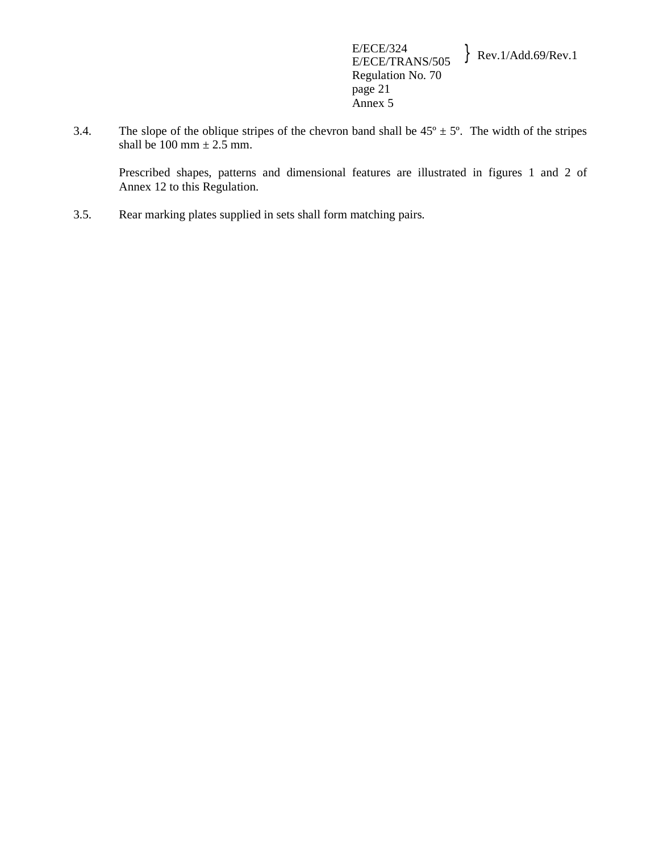E/ECE/324<br>E/ECE/TRANS/505  $\text{Rev.1/Add.69/Rev.1}$ Regulation No. 70 page 21 Annex 5

3.4. The slope of the oblique stripes of the chevron band shall be  $45^{\circ} \pm 5^{\circ}$ . The width of the stripes shall be 100 mm  $\pm 2.5$  mm.

 Prescribed shapes, patterns and dimensional features are illustrated in figures 1 and 2 of Annex 12 to this Regulation.

3.5. Rear marking plates supplied in sets shall form matching pairs.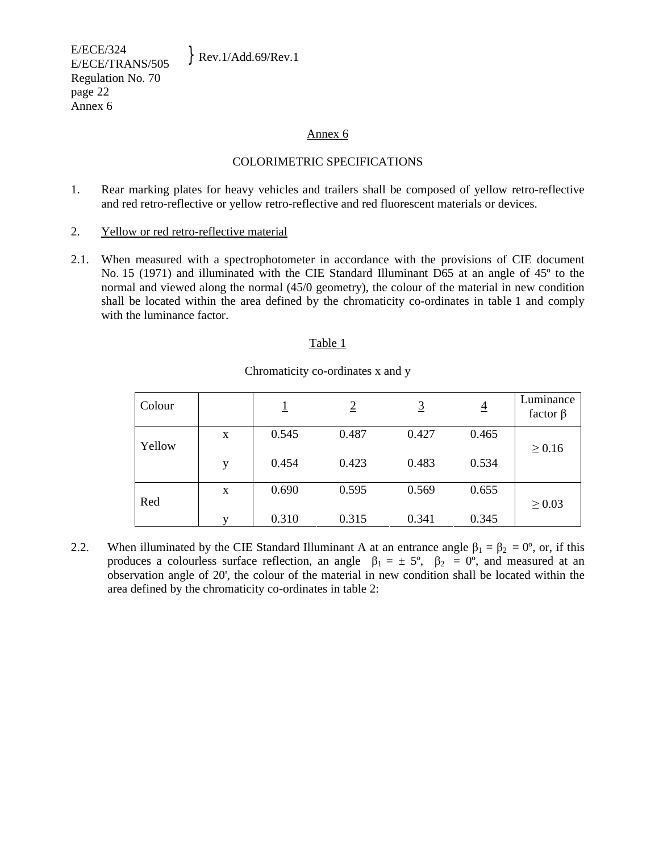E/ECE/324  $E/ECE/324$ <br>E/ECE/TRANS/505 Rev.1/Add.69/Rev.1 Regulation No. 70 page 22 Annex 6

## Annex 6

## COLORIMETRIC SPECIFICATIONS

- 1. Rear marking plates for heavy vehicles and trailers shall be composed of yellow retro-reflective and red retro-reflective or yellow retro-reflective and red fluorescent materials or devices.
- 2. Yellow or red retro-reflective material
- 2.1. When measured with a spectrophotometer in accordance with the provisions of CIE document No. 15 (1971) and illuminated with the CIE Standard Illuminant D65 at an angle of 45º to the normal and viewed along the normal (45/0 geometry), the colour of the material in new condition shall be located within the area defined by the chromaticity co-ordinates in table 1 and comply with the luminance factor.

## Table 1

| Colour |   |       | $\overline{2}$ | <u>3</u> | $\overline{4}$ | Luminance<br>factor $\beta$ |
|--------|---|-------|----------------|----------|----------------|-----------------------------|
| Yellow | X | 0.545 | 0.487          | 0.427    | 0.465          | $\geq 0.16$                 |
|        | y | 0.454 | 0.423          | 0.483    | 0.534          |                             |
| Red    | X | 0.690 | 0.595          | 0.569    | 0.655          | $\geq 0.03$                 |
|        | V | 0.310 | 0.315          | 0.341    | 0.345          |                             |

Chromaticity co-ordinates x and y

2.2. When illuminated by the CIE Standard Illuminant A at an entrance angle  $\beta_1 = \beta_2 = 0^\circ$ , or, if this produces a colourless surface reflection, an angle  $\beta_1 = \pm 5^{\circ}$ ,  $\beta_2 = 0^{\circ}$ , and measured at an observation angle of 20', the colour of the material in new condition shall be located within the area defined by the chromaticity co-ordinates in table 2: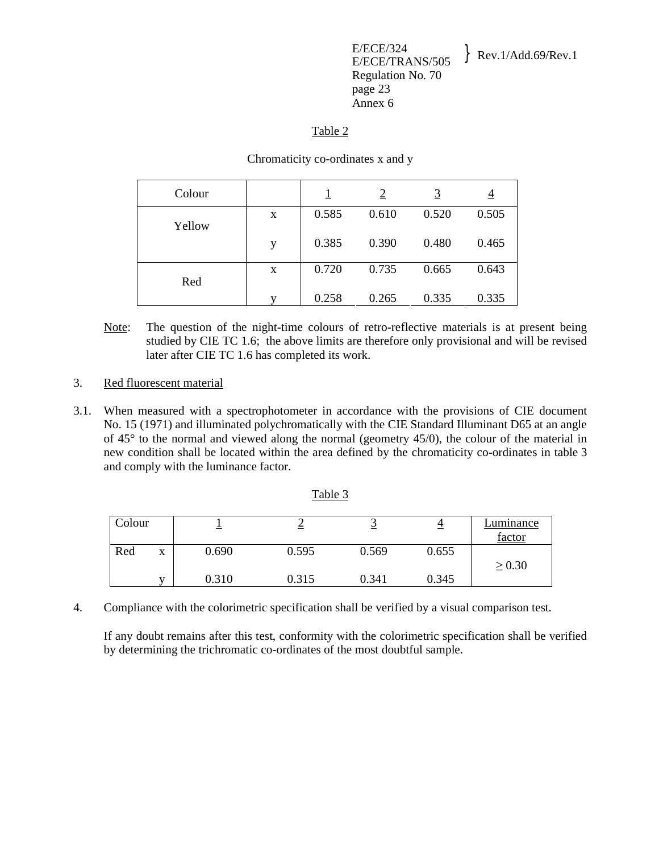# Table 2

## Chromaticity co-ordinates x and y

| Colour |   |       |       |       | $\overline{4}$ |
|--------|---|-------|-------|-------|----------------|
| Yellow | X | 0.585 | 0.610 | 0.520 | 0.505          |
|        | у | 0.385 | 0.390 | 0.480 | 0.465          |
| Red    | X | 0.720 | 0.735 | 0.665 | 0.643          |
|        | v | 0.258 | 0.265 | 0.335 | 0.335          |

 Note: The question of the night-time colours of retro-reflective materials is at present being studied by CIE TC 1.6; the above limits are therefore only provisional and will be revised later after CIE TC 1.6 has completed its work.

## 3. Red fluorescent material

3.1. When measured with a spectrophotometer in accordance with the provisions of CIE document No. 15 (1971) and illuminated polychromatically with the CIE Standard Illuminant D65 at an angle of 45° to the normal and viewed along the normal (geometry 45/0), the colour of the material in new condition shall be located within the area defined by the chromaticity co-ordinates in table 3 and comply with the luminance factor.

| Colour |   |       |       |       |       | Luminance<br>factor |
|--------|---|-------|-------|-------|-------|---------------------|
| Red    | X | 0.690 | 0.595 | 0.569 | 0.655 | $\geq 0.30$         |
|        |   | 0.310 | 0.315 | 0.341 | 0.345 |                     |

Table 3

4. Compliance with the colorimetric specification shall be verified by a visual comparison test.

 If any doubt remains after this test, conformity with the colorimetric specification shall be verified by determining the trichromatic co-ordinates of the most doubtful sample.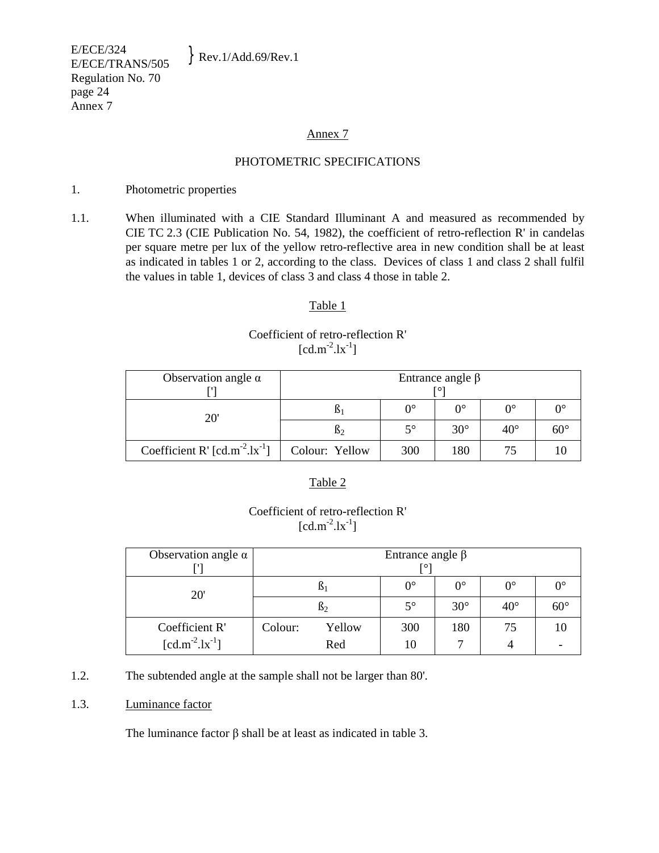E/ECE/324  $E/ECE/324$ <br>E/ECE/TRANS/505 Rev.1/Add.69/Rev.1 Regulation No. 70 page 24 Annex 7

## Annex 7

# PHOTOMETRIC SPECIFICATIONS

- 1. Photometric properties
- 1.1. When illuminated with a CIE Standard Illuminant A and measured as recommended by CIE TC 2.3 (CIE Publication No. 54, 1982), the coefficient of retro-reflection R' in candelas per square metre per lux of the yellow retro-reflective area in new condition shall be at least as indicated in tables 1 or 2, according to the class. Devices of class 1 and class 2 shall fulfil the values in table 1, devices of class 3 and class 4 those in table 2.

# Table 1

# Coefficient of retro-reflection R'  $[cd.m^{-2}.lx^{-1}]$

| Observation angle $\alpha$           | Entrance angle $\beta$ |             |                  |              |              |
|--------------------------------------|------------------------|-------------|------------------|--------------|--------------|
|                                      |                        |             |                  |              |              |
| 20'                                  |                        | $0^{\circ}$ | $\Omega^{\circ}$ | ∩∘           | $0^{\circ}$  |
|                                      |                        | $5^{\circ}$ | $30^\circ$       | $40^{\circ}$ | $60^{\circ}$ |
| Coefficient R' $[cd.m^{-2}.lx^{-1}]$ | Colour: Yellow         | 300         | 180              |              |              |

# Table 2

# Coefficient of retro-reflection R'  $[cd.m^{-2}.lx^{-1}]$

| Observation angle $\alpha$ | Entrance angle $\beta$ |                 |             |             |              |              |
|----------------------------|------------------------|-----------------|-------------|-------------|--------------|--------------|
| 20'                        |                        | 15 <sub>1</sub> | $0^{\circ}$ | $0^{\circ}$ | $0^{\circ}$  | $0^{\circ}$  |
|                            | B <sub>2</sub>         |                 | $5^{\circ}$ | $30^\circ$  | $40^{\circ}$ | $60^{\circ}$ |
| Coefficient R'             | Colour:                | Yellow          | 300         | 180         | 75           |              |
| $[cd.m^{-2}.lx^{-1}]$      |                        | Red             | 10          |             |              |              |

1.2. The subtended angle at the sample shall not be larger than 80'.

# 1.3. Luminance factor

The luminance factor  $β$  shall be at least as indicated in table 3.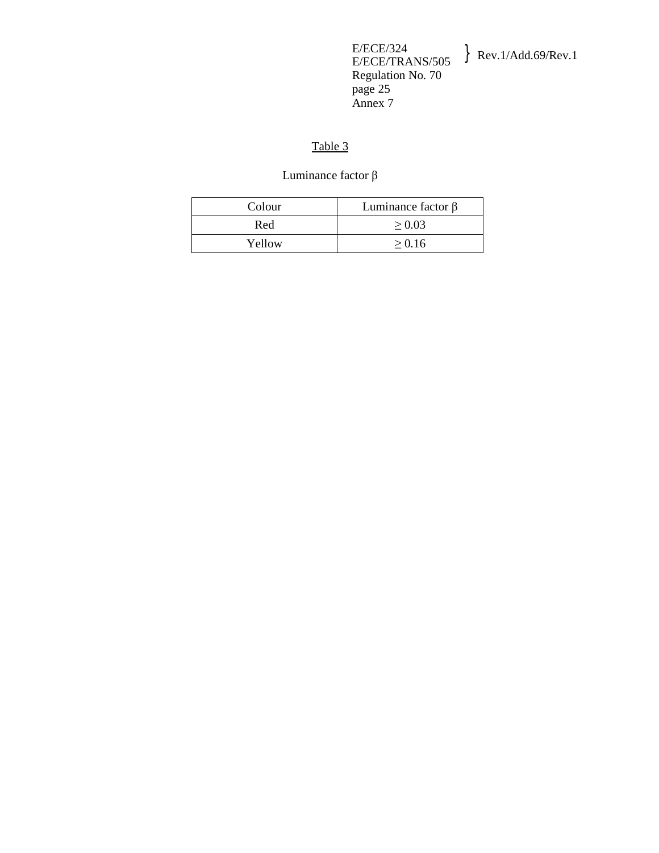# Table 3

# Luminance factor β

| Colour | Luminance factor $\beta$ |
|--------|--------------------------|
| Red    | $\geq 0.03$              |
| Yellow | $\geq 0.16$              |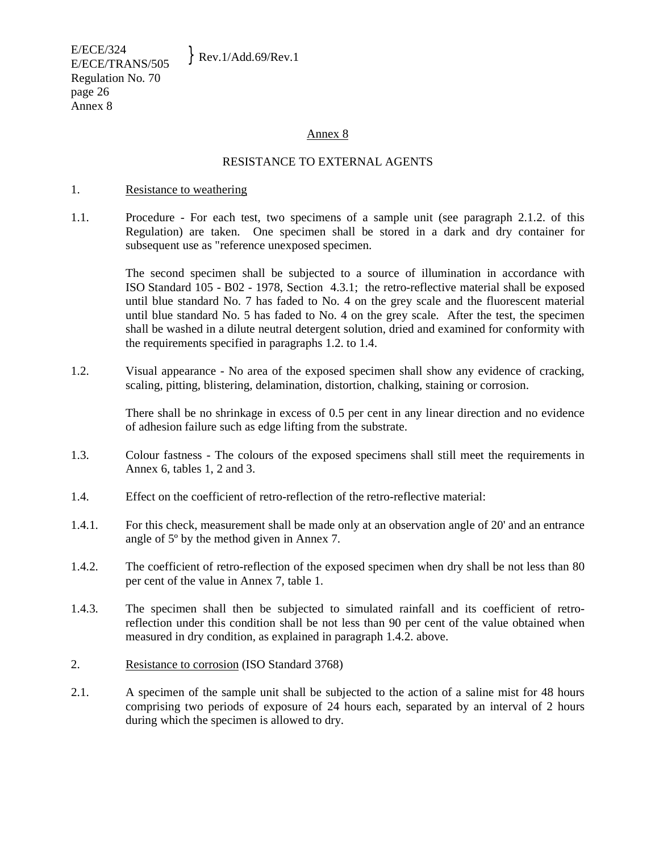E/ECE/324  $E/ECE/524$ <br>E/ECE/TRANS/505 Rev.1/Add.69/Rev.1 Regulation No. 70 page 26 Annex 8

## Annex 8

## RESISTANCE TO EXTERNAL AGENTS

## 1. Resistance to weathering

1.1. Procedure - For each test, two specimens of a sample unit (see paragraph 2.1.2. of this Regulation) are taken. One specimen shall be stored in a dark and dry container for subsequent use as "reference unexposed specimen.

> The second specimen shall be subjected to a source of illumination in accordance with ISO Standard 105 - B02 - 1978, Section 4.3.1; the retro-reflective material shall be exposed until blue standard No. 7 has faded to No. 4 on the grey scale and the fluorescent material until blue standard No. 5 has faded to No. 4 on the grey scale. After the test, the specimen shall be washed in a dilute neutral detergent solution, dried and examined for conformity with the requirements specified in paragraphs 1.2. to 1.4.

1.2. Visual appearance - No area of the exposed specimen shall show any evidence of cracking, scaling, pitting, blistering, delamination, distortion, chalking, staining or corrosion.

> There shall be no shrinkage in excess of 0.5 per cent in any linear direction and no evidence of adhesion failure such as edge lifting from the substrate.

- 1.3. Colour fastness The colours of the exposed specimens shall still meet the requirements in Annex 6, tables 1, 2 and 3.
- 1.4. Effect on the coefficient of retro-reflection of the retro-reflective material:
- 1.4.1. For this check, measurement shall be made only at an observation angle of 20' and an entrance angle of 5º by the method given in Annex 7.
- 1.4.2. The coefficient of retro-reflection of the exposed specimen when dry shall be not less than 80 per cent of the value in Annex 7, table 1.
- 1.4.3. The specimen shall then be subjected to simulated rainfall and its coefficient of retroreflection under this condition shall be not less than 90 per cent of the value obtained when measured in dry condition, as explained in paragraph 1.4.2. above.
- 2. Resistance to corrosion (ISO Standard 3768)
- 2.1. A specimen of the sample unit shall be subjected to the action of a saline mist for 48 hours comprising two periods of exposure of 24 hours each, separated by an interval of 2 hours during which the specimen is allowed to dry.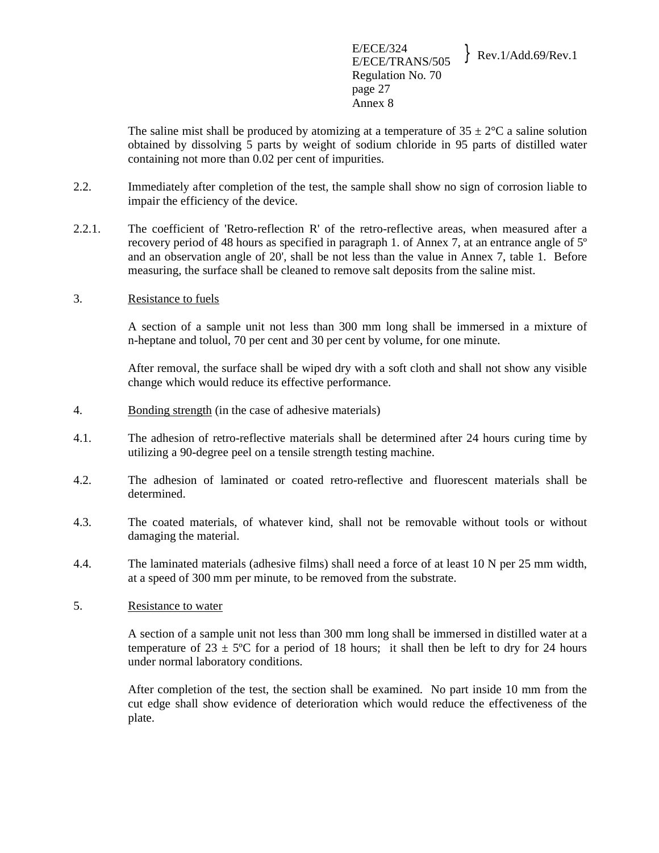The saline mist shall be produced by atomizing at a temperature of  $35 \pm 2$ °C a saline solution obtained by dissolving 5 parts by weight of sodium chloride in 95 parts of distilled water containing not more than 0.02 per cent of impurities.

- 2.2. Immediately after completion of the test, the sample shall show no sign of corrosion liable to impair the efficiency of the device.
- 2.2.1. The coefficient of 'Retro-reflection R' of the retro-reflective areas, when measured after a recovery period of 48 hours as specified in paragraph 1. of Annex 7, at an entrance angle of 5º and an observation angle of 20', shall be not less than the value in Annex 7, table 1. Before measuring, the surface shall be cleaned to remove salt deposits from the saline mist.
- 3. Resistance to fuels

 A section of a sample unit not less than 300 mm long shall be immersed in a mixture of n-heptane and toluol, 70 per cent and 30 per cent by volume, for one minute.

 After removal, the surface shall be wiped dry with a soft cloth and shall not show any visible change which would reduce its effective performance.

- 4. Bonding strength (in the case of adhesive materials)
- 4.1. The adhesion of retro-reflective materials shall be determined after 24 hours curing time by utilizing a 90-degree peel on a tensile strength testing machine.
- 4.2. The adhesion of laminated or coated retro-reflective and fluorescent materials shall be determined.
- 4.3. The coated materials, of whatever kind, shall not be removable without tools or without damaging the material.
- 4.4. The laminated materials (adhesive films) shall need a force of at least 10 N per 25 mm width, at a speed of 300 mm per minute, to be removed from the substrate.
- 5. Resistance to water

 A section of a sample unit not less than 300 mm long shall be immersed in distilled water at a temperature of 23  $\pm$  5°C for a period of 18 hours; it shall then be left to dry for 24 hours under normal laboratory conditions.

 After completion of the test, the section shall be examined. No part inside 10 mm from the cut edge shall show evidence of deterioration which would reduce the effectiveness of the plate.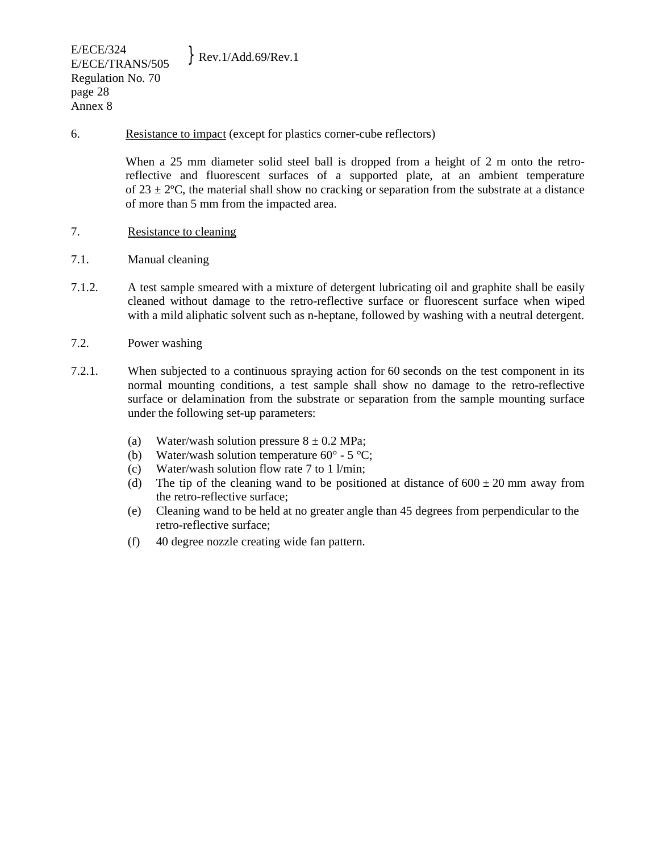6. Resistance to impact (except for plastics corner-cube reflectors)

 When a 25 mm diameter solid steel ball is dropped from a height of 2 m onto the retroreflective and fluorescent surfaces of a supported plate, at an ambient temperature of  $23 \pm 2$ °C, the material shall show no cracking or separation from the substrate at a distance of more than 5 mm from the impacted area.

- 7. Resistance to cleaning
- 7.1. Manual cleaning
- 7.1.2. A test sample smeared with a mixture of detergent lubricating oil and graphite shall be easily cleaned without damage to the retro-reflective surface or fluorescent surface when wiped with a mild aliphatic solvent such as n-heptane, followed by washing with a neutral detergent.
- 7.2. Power washing
- 7.2.1. When subjected to a continuous spraying action for 60 seconds on the test component in its normal mounting conditions, a test sample shall show no damage to the retro-reflective surface or delamination from the substrate or separation from the sample mounting surface under the following set-up parameters:
	- (a) Water/wash solution pressure  $8 \pm 0.2$  MPa;
	- (b) Water/wash solution temperature  $60^{\circ}$  5  $^{\circ}$ C;
	- (c) Water/wash solution flow rate 7 to 1 l/min;
	- (d) The tip of the cleaning wand to be positioned at distance of  $600 \pm 20$  mm away from the retro-reflective surface;
	- (e) Cleaning wand to be held at no greater angle than 45 degrees from perpendicular to the retro-reflective surface;
	- (f) 40 degree nozzle creating wide fan pattern.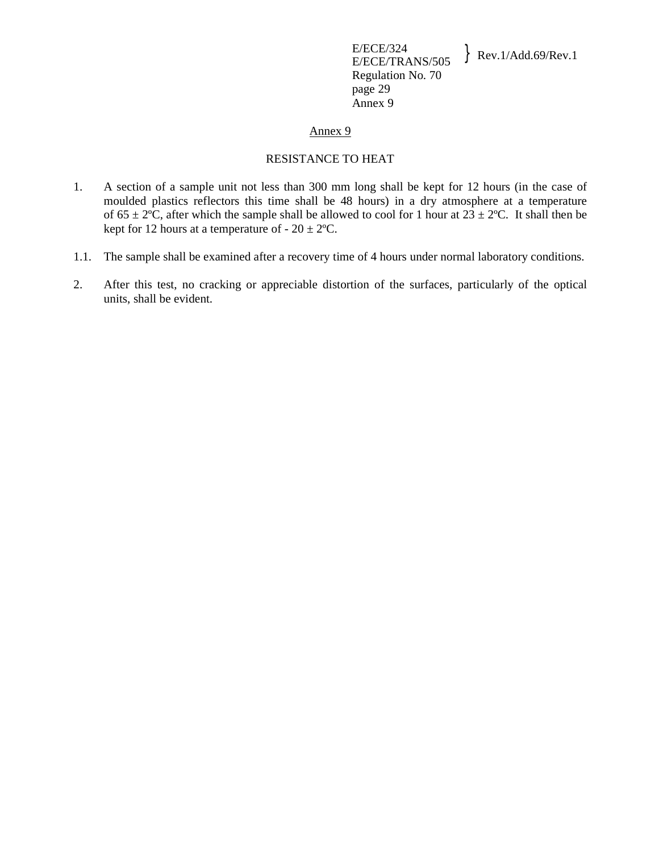## Annex 9

## RESISTANCE TO HEAT

- 1. A section of a sample unit not less than 300 mm long shall be kept for 12 hours (in the case of moulded plastics reflectors this time shall be 48 hours) in a dry atmosphere at a temperature of  $65 \pm 2$ °C, after which the sample shall be allowed to cool for 1 hour at  $23 \pm 2$ °C. It shall then be kept for 12 hours at a temperature of  $-20 \pm 2^{\circ}C$ .
- 1.1. The sample shall be examined after a recovery time of 4 hours under normal laboratory conditions.
- 2. After this test, no cracking or appreciable distortion of the surfaces, particularly of the optical units, shall be evident.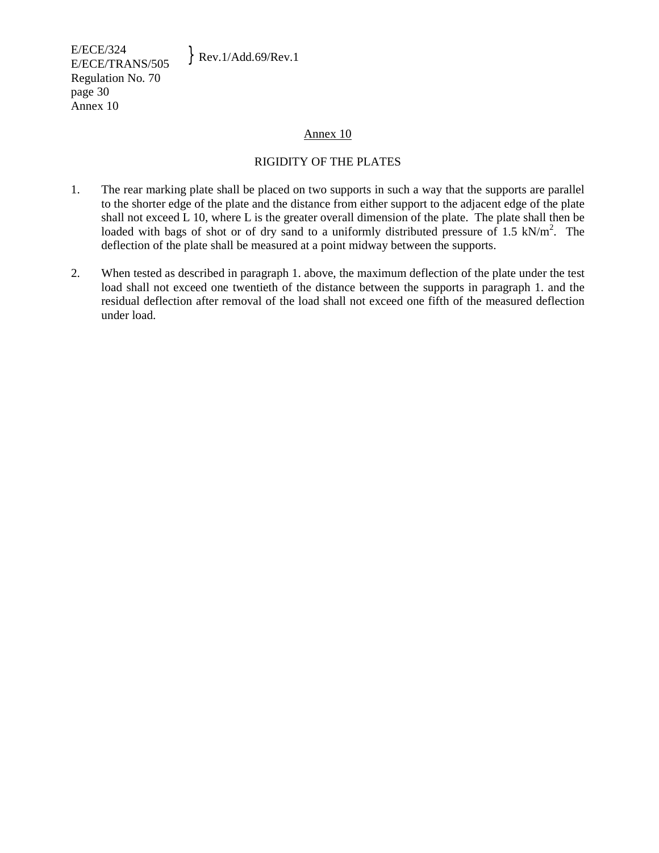E/ECE/324  $E/ECE/324$ <br>E/ECE/TRANS/505 Rev.1/Add.69/Rev.1 Regulation No. 70 page 30 Annex 10

# Annex 10

# RIGIDITY OF THE PLATES

- 1. The rear marking plate shall be placed on two supports in such a way that the supports are parallel to the shorter edge of the plate and the distance from either support to the adjacent edge of the plate shall not exceed L 10, where L is the greater overall dimension of the plate. The plate shall then be loaded with bags of shot or of dry sand to a uniformly distributed pressure of 1.5 kN/m<sup>2</sup>. The deflection of the plate shall be measured at a point midway between the supports.
- 2. When tested as described in paragraph 1. above, the maximum deflection of the plate under the test load shall not exceed one twentieth of the distance between the supports in paragraph 1. and the residual deflection after removal of the load shall not exceed one fifth of the measured deflection under load.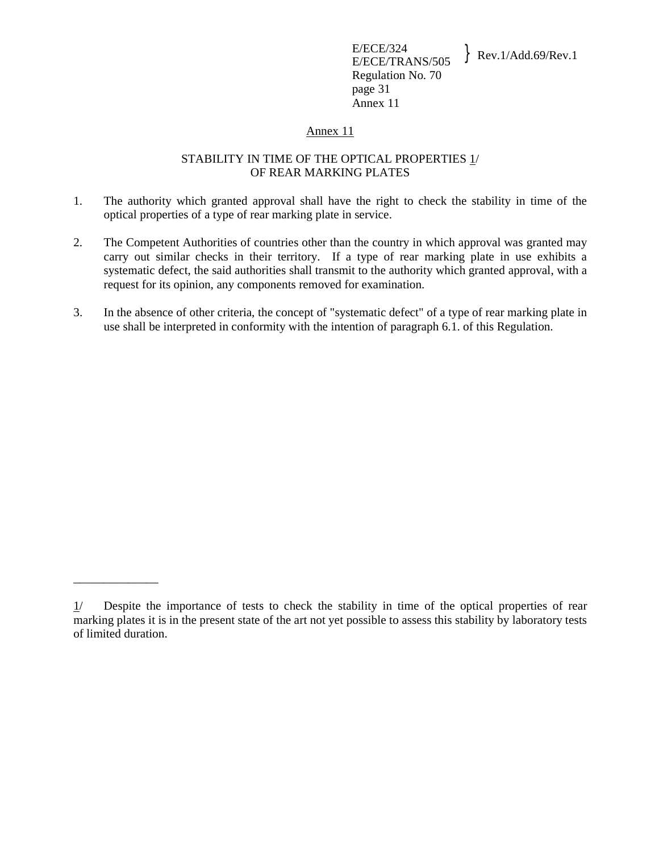## Annex 11

# STABILITY IN TIME OF THE OPTICAL PROPERTIES 1/ OF REAR MARKING PLATES

- 1. The authority which granted approval shall have the right to check the stability in time of the optical properties of a type of rear marking plate in service.
- 2. The Competent Authorities of countries other than the country in which approval was granted may carry out similar checks in their territory. If a type of rear marking plate in use exhibits a systematic defect, the said authorities shall transmit to the authority which granted approval, with a request for its opinion, any components removed for examination.
- 3. In the absence of other criteria, the concept of "systematic defect" of a type of rear marking plate in use shall be interpreted in conformity with the intention of paragraph 6.1. of this Regulation.

\_\_\_\_\_\_\_\_\_\_\_\_\_\_

<sup>1/</sup> Despite the importance of tests to check the stability in time of the optical properties of rear marking plates it is in the present state of the art not yet possible to assess this stability by laboratory tests of limited duration.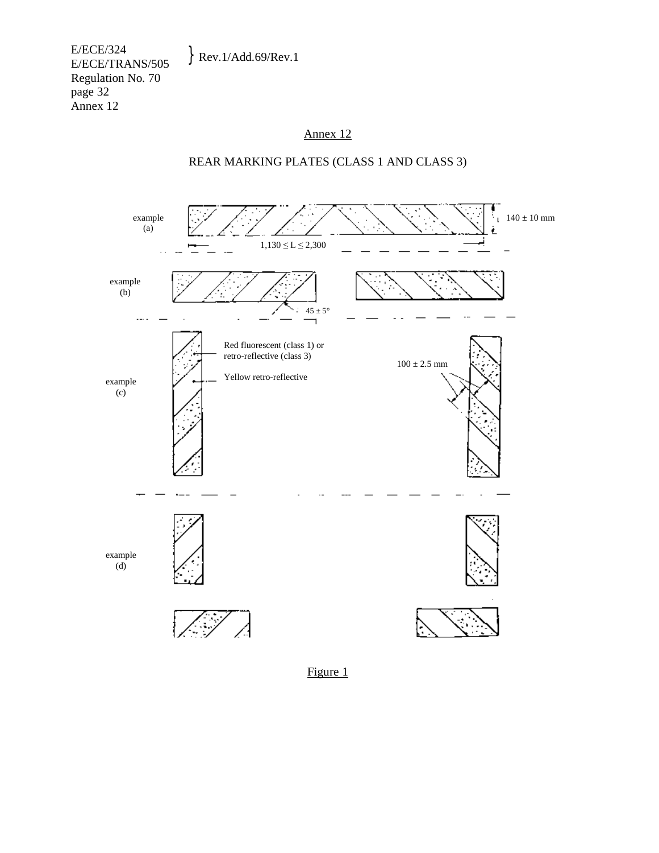E/ECE/324 E/ECE/324<br>E/ECE/TRANS/505 Rev.1/Add.69/Rev.1 Regulation No. 70 page 32 Annex 12

# Annex 12



# REAR MARKING PLATES (CLASS 1 AND CLASS 3)

Figure 1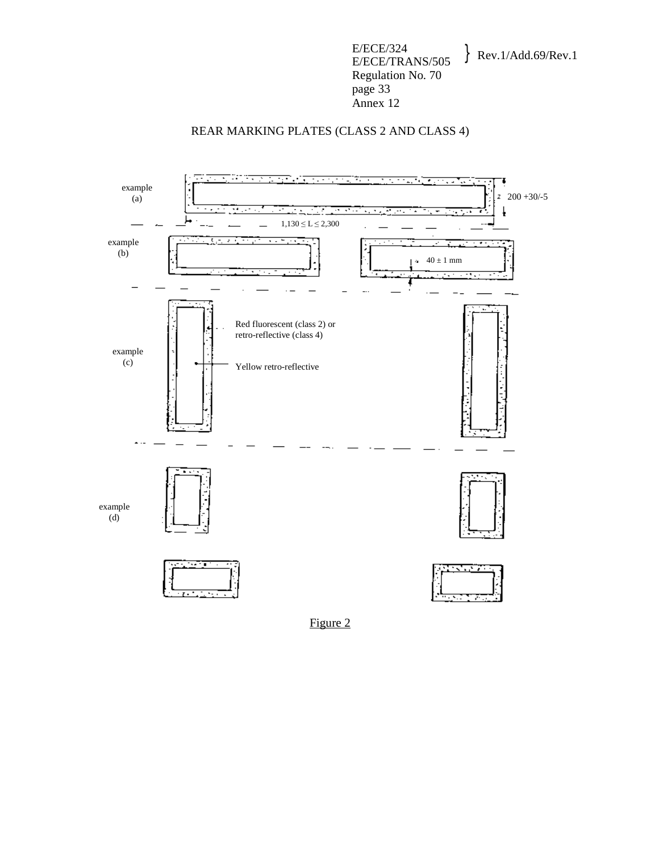# REAR MARKING PLATES (CLASS 2 AND CLASS 4)



Figure 2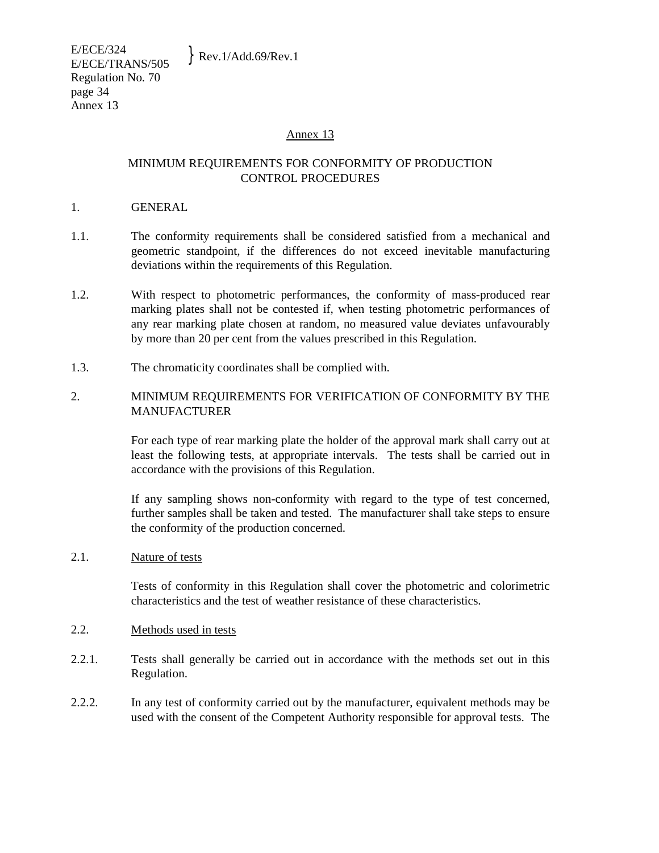## Annex 13

# MINIMUM REQUIREMENTS FOR CONFORMITY OF PRODUCTION CONTROL PROCEDURES

## 1. GENERAL

- 1.1. The conformity requirements shall be considered satisfied from a mechanical and geometric standpoint, if the differences do not exceed inevitable manufacturing deviations within the requirements of this Regulation.
- 1.2. With respect to photometric performances, the conformity of mass-produced rear marking plates shall not be contested if, when testing photometric performances of any rear marking plate chosen at random, no measured value deviates unfavourably by more than 20 per cent from the values prescribed in this Regulation.
- 1.3. The chromaticity coordinates shall be complied with.

# 2. MINIMUM REQUIREMENTS FOR VERIFICATION OF CONFORMITY BY THE MANUFACTURER

 For each type of rear marking plate the holder of the approval mark shall carry out at least the following tests, at appropriate intervals. The tests shall be carried out in accordance with the provisions of this Regulation.

 If any sampling shows non-conformity with regard to the type of test concerned, further samples shall be taken and tested. The manufacturer shall take steps to ensure the conformity of the production concerned.

2.1. Nature of tests

 Tests of conformity in this Regulation shall cover the photometric and colorimetric characteristics and the test of weather resistance of these characteristics.

- 2.2. Methods used in tests
- 2.2.1. Tests shall generally be carried out in accordance with the methods set out in this Regulation.
- 2.2.2. In any test of conformity carried out by the manufacturer, equivalent methods may be used with the consent of the Competent Authority responsible for approval tests. The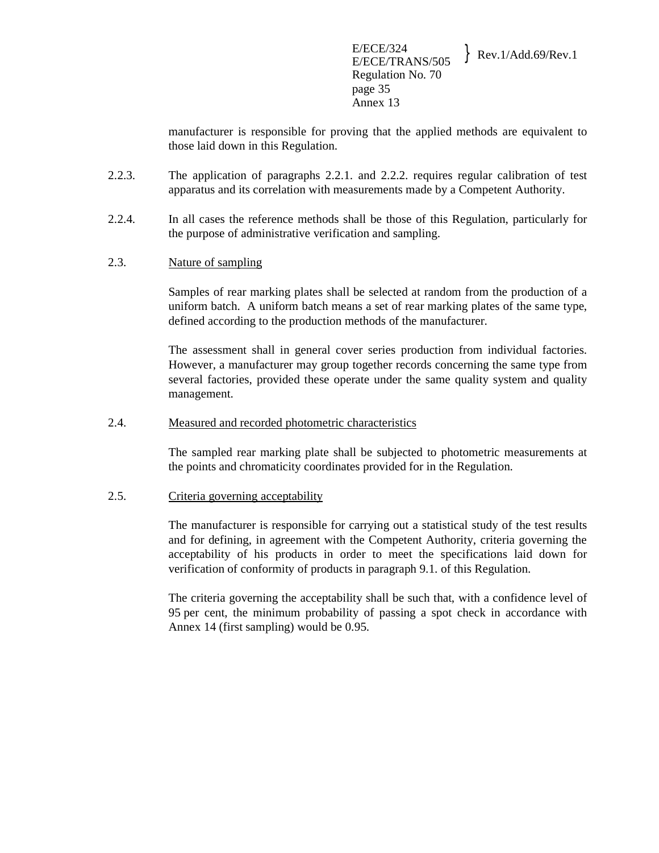manufacturer is responsible for proving that the applied methods are equivalent to those laid down in this Regulation.

- 2.2.3. The application of paragraphs 2.2.1. and 2.2.2. requires regular calibration of test apparatus and its correlation with measurements made by a Competent Authority.
- 2.2.4. In all cases the reference methods shall be those of this Regulation, particularly for the purpose of administrative verification and sampling.

## 2.3. Nature of sampling

 Samples of rear marking plates shall be selected at random from the production of a uniform batch. A uniform batch means a set of rear marking plates of the same type, defined according to the production methods of the manufacturer.

 The assessment shall in general cover series production from individual factories. However, a manufacturer may group together records concerning the same type from several factories, provided these operate under the same quality system and quality management.

## 2.4. Measured and recorded photometric characteristics

 The sampled rear marking plate shall be subjected to photometric measurements at the points and chromaticity coordinates provided for in the Regulation.

## 2.5. Criteria governing acceptability

 The manufacturer is responsible for carrying out a statistical study of the test results and for defining, in agreement with the Competent Authority, criteria governing the acceptability of his products in order to meet the specifications laid down for verification of conformity of products in paragraph 9.1. of this Regulation.

 The criteria governing the acceptability shall be such that, with a confidence level of 95 per cent, the minimum probability of passing a spot check in accordance with Annex 14 (first sampling) would be 0.95.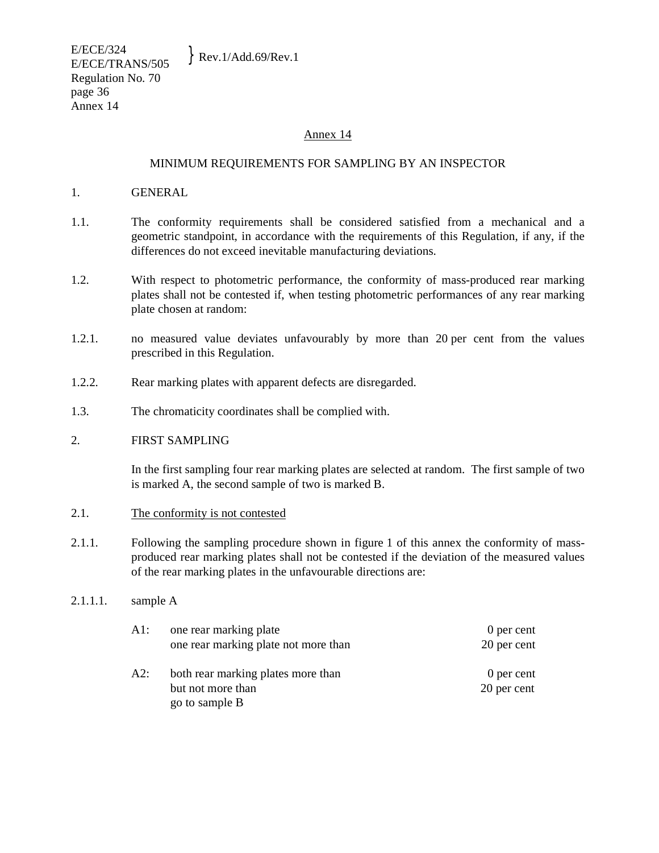# Annex 14

# MINIMUM REQUIREMENTS FOR SAMPLING BY AN INSPECTOR

- 1. GENERAL
- 1.1. The conformity requirements shall be considered satisfied from a mechanical and a geometric standpoint, in accordance with the requirements of this Regulation, if any, if the differences do not exceed inevitable manufacturing deviations.
- 1.2. With respect to photometric performance, the conformity of mass-produced rear marking plates shall not be contested if, when testing photometric performances of any rear marking plate chosen at random:
- 1.2.1. no measured value deviates unfavourably by more than 20 per cent from the values prescribed in this Regulation.
- 1.2.2. Rear marking plates with apparent defects are disregarded.
- 1.3. The chromaticity coordinates shall be complied with.
- 2. FIRST SAMPLING

 In the first sampling four rear marking plates are selected at random. The first sample of two is marked A, the second sample of two is marked B.

## 2.1. The conformity is not contested

- 2.1.1. Following the sampling procedure shown in figure 1 of this annex the conformity of massproduced rear marking plates shall not be contested if the deviation of the measured values of the rear marking plates in the unfavourable directions are:
- 2.1.1.1. sample A

|                                                         | 20 per cent               |
|---------------------------------------------------------|---------------------------|
| both rear marking plates more than<br>but not more than | 0 per cent<br>20 per cent |
|                                                         | go to sample B            |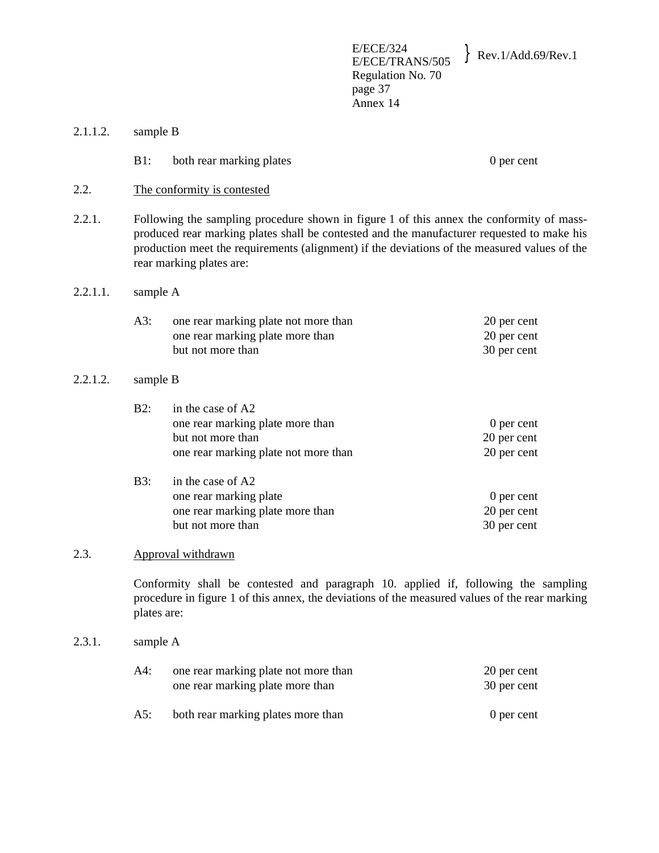E/ECE/324<br>E/ECE/TRANS/505  $\}$  Rev.1/Add.69/Rev.1 Regulation No. 70 page 37 Annex 14

| 2.1.1.2. | sample B    |                                                                                                                                                                                                                                                                                                                    |                                           |  |
|----------|-------------|--------------------------------------------------------------------------------------------------------------------------------------------------------------------------------------------------------------------------------------------------------------------------------------------------------------------|-------------------------------------------|--|
|          | $B1$ :      | both rear marking plates                                                                                                                                                                                                                                                                                           | 0 per cent                                |  |
| 2.2.     |             | The conformity is contested                                                                                                                                                                                                                                                                                        |                                           |  |
| 2.2.1.   |             | Following the sampling procedure shown in figure 1 of this annex the conformity of mass-<br>produced rear marking plates shall be contested and the manufacturer requested to make his<br>production meet the requirements (alignment) if the deviations of the measured values of the<br>rear marking plates are: |                                           |  |
| 2.2.1.1. |             | sample A                                                                                                                                                                                                                                                                                                           |                                           |  |
|          | A3:         | one rear marking plate not more than<br>one rear marking plate more than<br>but not more than                                                                                                                                                                                                                      | 20 per cent<br>20 per cent<br>30 per cent |  |
| 2.2.1.2. |             | sample B                                                                                                                                                                                                                                                                                                           |                                           |  |
|          | B2:         | in the case of A2<br>one rear marking plate more than<br>but not more than<br>one rear marking plate not more than                                                                                                                                                                                                 | 0 per cent<br>20 per cent<br>20 per cent  |  |
|          | <b>B3:</b>  | in the case of A2<br>one rear marking plate<br>one rear marking plate more than<br>but not more than                                                                                                                                                                                                               | 0 per cent<br>20 per cent<br>30 per cent  |  |
| 2.3.     |             | Approval withdrawn                                                                                                                                                                                                                                                                                                 |                                           |  |
|          | plates are: | Conformity shall be contested and paragraph 10. applied if, following the sampling<br>procedure in figure 1 of this annex, the deviations of the measured values of the rear marking                                                                                                                               |                                           |  |
| 2.3.1.   | sample A    |                                                                                                                                                                                                                                                                                                                    |                                           |  |
|          | $A4$ :      | one rear marking plate not more than<br>one rear marking plate more than                                                                                                                                                                                                                                           | 20 per cent<br>30 per cent                |  |

A5: both rear marking plates more than 0 per cent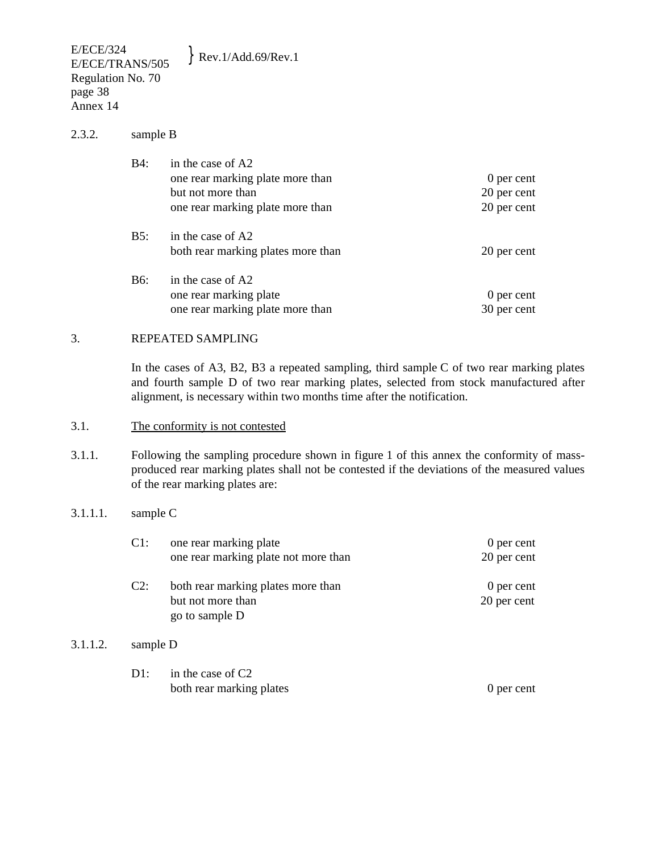E/ECE/324  $E/ECE/324$ <br>E/ECE/TRANS/505 Rev.1/Add.69/Rev.1 Regulation No. 70 page 38 Annex 14

## 2.3.2. sample B

| <b>B4:</b> | in the case of A2<br>one rear marking plate more than<br>but not more than<br>one rear marking plate more than | 0 per cent<br>20 per cent<br>20 per cent |
|------------|----------------------------------------------------------------------------------------------------------------|------------------------------------------|
| B5:        | in the case of A2<br>both rear marking plates more than                                                        | 20 per cent                              |
| <b>B6:</b> | in the case of A2<br>one rear marking plate<br>one rear marking plate more than                                | 0 per cent<br>30 per cent                |

# 3. REPEATED SAMPLING

In the cases of A3, B2, B3 a repeated sampling, third sample  $C$  of two rear marking plates and fourth sample D of two rear marking plates, selected from stock manufactured after alignment, is necessary within two months time after the notification.

## 3.1. The conformity is not contested

3.1.1. Following the sampling procedure shown in figure 1 of this annex the conformity of massproduced rear marking plates shall not be contested if the deviations of the measured values of the rear marking plates are:

## 3.1.1.1. sample C

| Cl:    | one rear marking plate<br>one rear marking plate not more than            | 0 per cent<br>20 per cent |
|--------|---------------------------------------------------------------------------|---------------------------|
| $C2$ : | both rear marking plates more than<br>but not more than<br>go to sample D | 0 per cent<br>20 per cent |

#### 3.1.1.2. sample D

| $D1:$ in the case of C2  |            |
|--------------------------|------------|
| both rear marking plates | 0 per cent |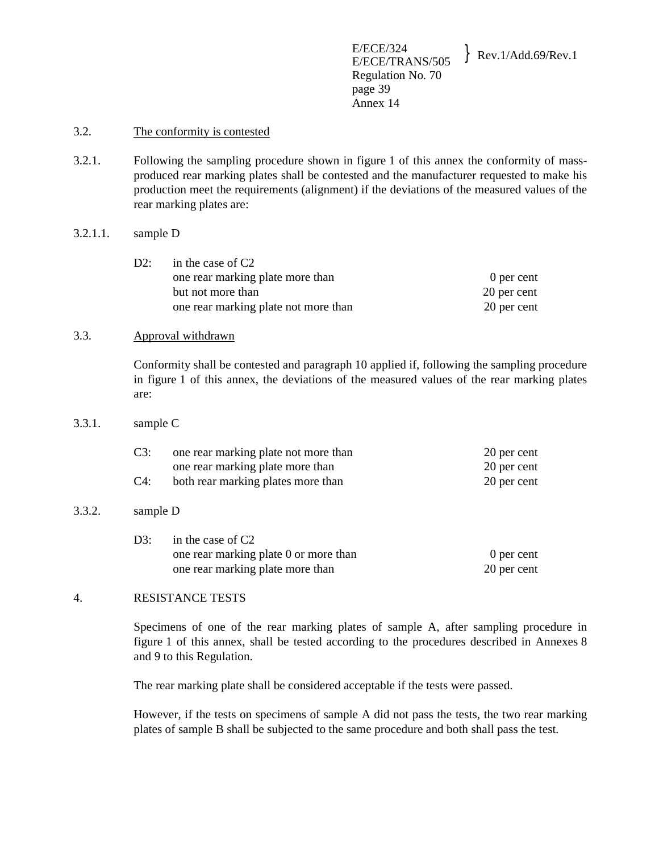## 3.2. The conformity is contested

3.2.1. Following the sampling procedure shown in figure 1 of this annex the conformity of massproduced rear marking plates shall be contested and the manufacturer requested to make his production meet the requirements (alignment) if the deviations of the measured values of the rear marking plates are:

## 3.2.1.1. sample D

| $D2^{\ddagger}$ | in the case of C2                    |             |
|-----------------|--------------------------------------|-------------|
|                 | one rear marking plate more than     | 0 per cent  |
|                 | but not more than                    | 20 per cent |
|                 | one rear marking plate not more than | 20 per cent |

## 3.3. Approval withdrawn

 Conformity shall be contested and paragraph 10 applied if, following the sampling procedure in figure 1 of this annex, the deviations of the measured values of the rear marking plates are:

## 3.3.1. sample C

|        | one rear marking plate not more than | 20 per cent |
|--------|--------------------------------------|-------------|
|        | one rear marking plate more than     | 20 per cent |
| $C4$ : | both rear marking plates more than   | 20 per cent |

## 3.3.2. sample D

| D3: in the case of $C2$               |             |
|---------------------------------------|-------------|
| one rear marking plate 0 or more than | 0 per cent  |
| one rear marking plate more than      | 20 per cent |

## 4. RESISTANCE TESTS

 Specimens of one of the rear marking plates of sample A, after sampling procedure in figure 1 of this annex, shall be tested according to the procedures described in Annexes 8 and 9 to this Regulation.

The rear marking plate shall be considered acceptable if the tests were passed.

 However, if the tests on specimens of sample A did not pass the tests, the two rear marking plates of sample B shall be subjected to the same procedure and both shall pass the test.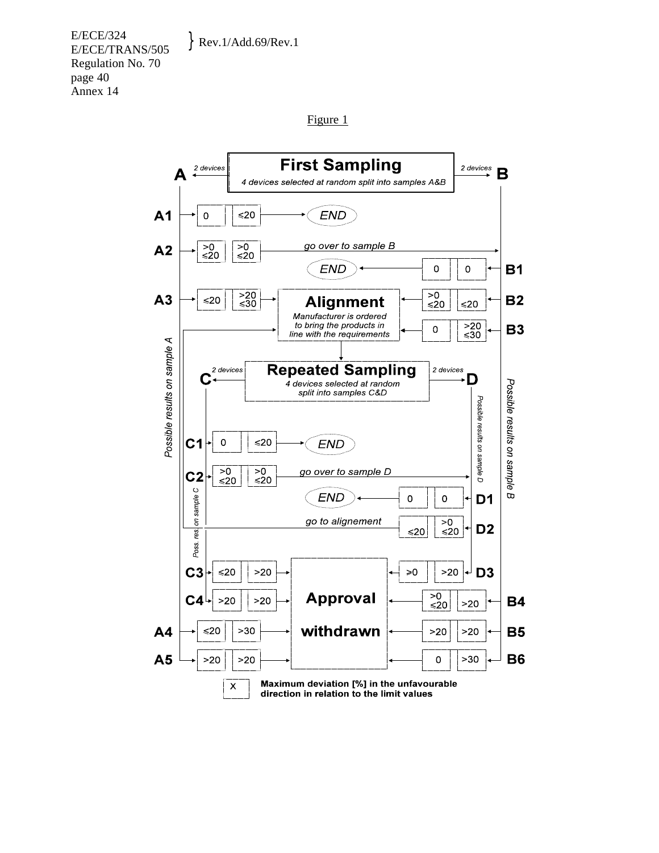E/ECE/324  $E/ECE/324$ <br>E/ECE/TRANS/505 Rev.1/Add.69/Rev.1 Regulation No. 70 page 40 Annex 14

# Figure 1

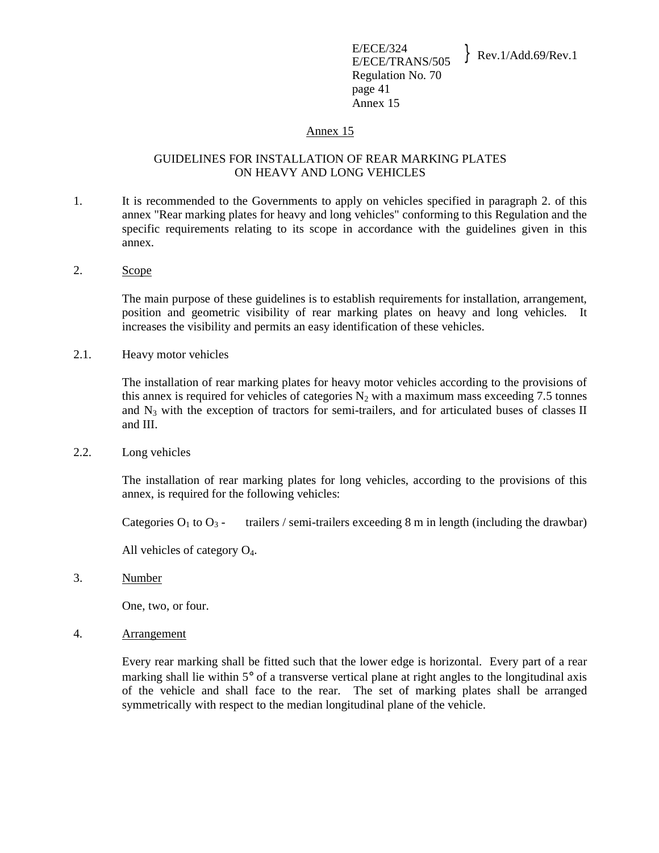## Annex 15

## GUIDELINES FOR INSTALLATION OF REAR MARKING PLATES ON HEAVY AND LONG VEHICLES

- 1. It is recommended to the Governments to apply on vehicles specified in paragraph 2. of this annex "Rear marking plates for heavy and long vehicles" conforming to this Regulation and the specific requirements relating to its scope in accordance with the guidelines given in this annex.
- 2. Scope

The main purpose of these guidelines is to establish requirements for installation, arrangement, position and geometric visibility of rear marking plates on heavy and long vehicles. It increases the visibility and permits an easy identification of these vehicles.

2.1. Heavy motor vehicles

The installation of rear marking plates for heavy motor vehicles according to the provisions of this annex is required for vehicles of categories  $N_2$  with a maximum mass exceeding 7.5 tonnes and  $N_3$  with the exception of tractors for semi-trailers, and for articulated buses of classes II and III.

2.2. Long vehicles

The installation of rear marking plates for long vehicles, according to the provisions of this annex, is required for the following vehicles:

Categories  $O_1$  to  $O_3$  - trailers / semi-trailers exceeding 8 m in length (including the drawbar)

All vehicles of category O4.

3. Number

One, two, or four.

4. Arrangement

Every rear marking shall be fitted such that the lower edge is horizontal. Every part of a rear marking shall lie within 5° of a transverse vertical plane at right angles to the longitudinal axis of the vehicle and shall face to the rear. The set of marking plates shall be arranged symmetrically with respect to the median longitudinal plane of the vehicle.